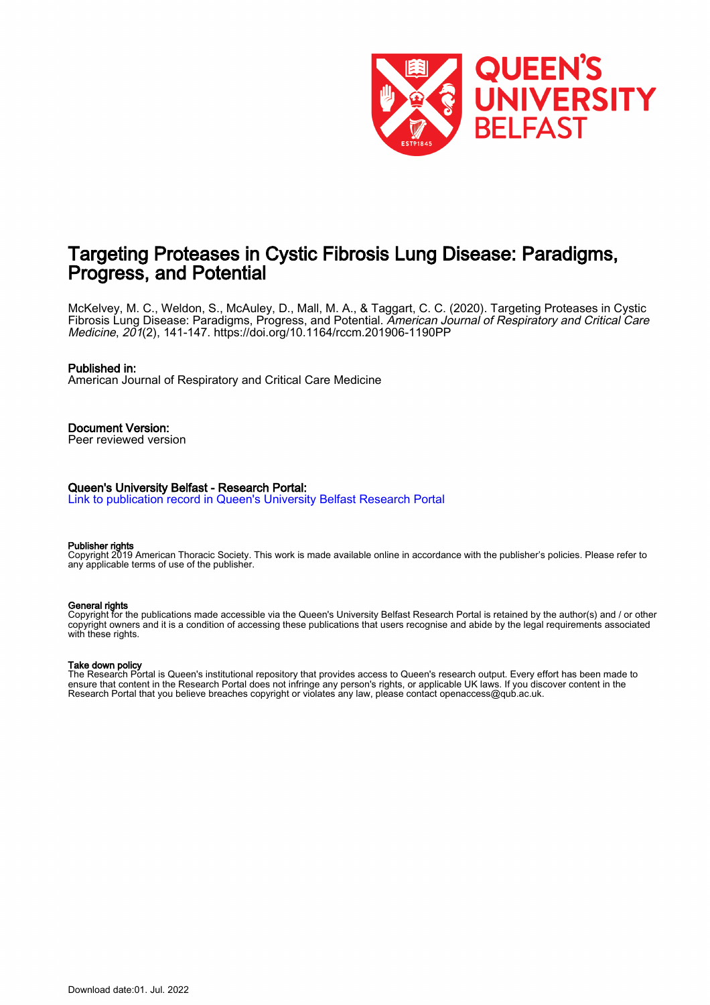

# Targeting Proteases in Cystic Fibrosis Lung Disease: Paradigms, Progress, and Potential

McKelvey, M. C., Weldon, S., McAuley, D., Mall, M. A., & Taggart, C. C. (2020). Targeting Proteases in Cystic Fibrosis Lung Disease: Paradigms, Progress, and Potential. American Journal of Respiratory and Critical Care Medicine, 201(2), 141-147.<https://doi.org/10.1164/rccm.201906-1190PP>

#### Published in:

American Journal of Respiratory and Critical Care Medicine

## Document Version:

Peer reviewed version

#### Queen's University Belfast - Research Portal:

[Link to publication record in Queen's University Belfast Research Portal](https://pure.qub.ac.uk/en/publications/61cd7c10-190c-4e87-a5b3-09e34c3f2333)

#### Publisher rights

Copyright 2019 American Thoracic Society. This work is made available online in accordance with the publisher's policies. Please refer to any applicable terms of use of the publisher.

#### General rights

Copyright for the publications made accessible via the Queen's University Belfast Research Portal is retained by the author(s) and / or other copyright owners and it is a condition of accessing these publications that users recognise and abide by the legal requirements associated with these rights.

#### Take down policy

The Research Portal is Queen's institutional repository that provides access to Queen's research output. Every effort has been made to ensure that content in the Research Portal does not infringe any person's rights, or applicable UK laws. If you discover content in the Research Portal that you believe breaches copyright or violates any law, please contact openaccess@qub.ac.uk.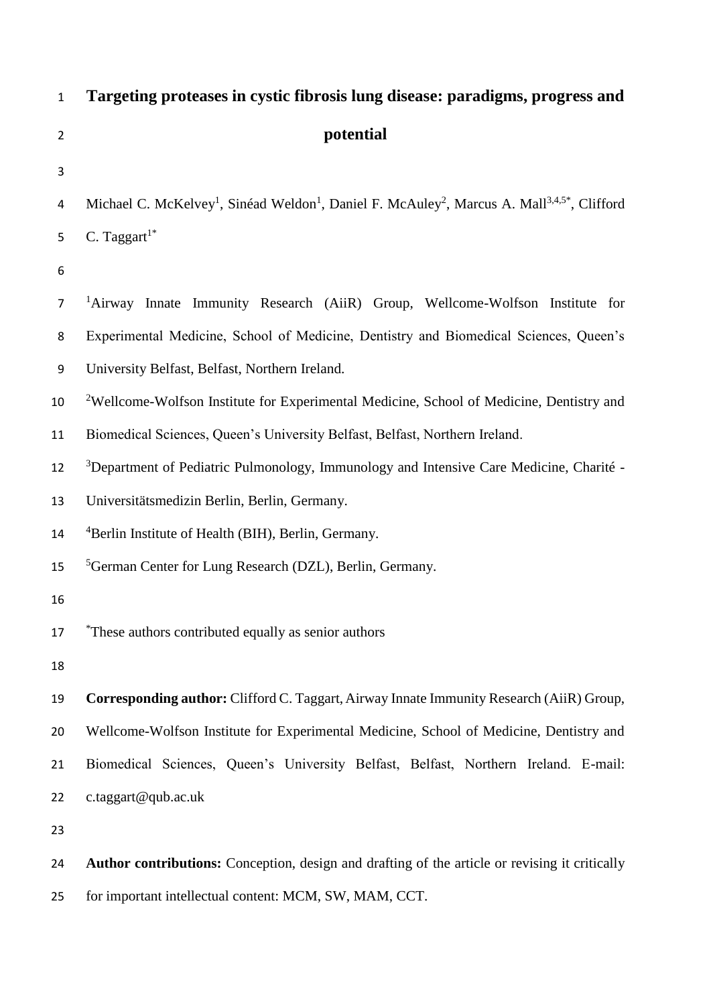| $\mathbf{1}$   | Targeting proteases in cystic fibrosis lung disease: paradigms, progress and                                                                 |  |  |
|----------------|----------------------------------------------------------------------------------------------------------------------------------------------|--|--|
| $\overline{2}$ | potential                                                                                                                                    |  |  |
| 3              |                                                                                                                                              |  |  |
| 4              | Michael C. McKelvey <sup>1</sup> , Sinéad Weldon <sup>1</sup> , Daniel F. McAuley <sup>2</sup> , Marcus A. Mall <sup>3,4,5*</sup> , Clifford |  |  |
| 5              | C. Taggart $1^*$                                                                                                                             |  |  |
| 6              |                                                                                                                                              |  |  |
| $\overline{7}$ | <sup>1</sup> Airway Innate Immunity Research (AiiR) Group, Wellcome-Wolfson Institute for                                                    |  |  |
| 8              | Experimental Medicine, School of Medicine, Dentistry and Biomedical Sciences, Queen's                                                        |  |  |
| 9              | University Belfast, Belfast, Northern Ireland.                                                                                               |  |  |
| 10             | <sup>2</sup> Wellcome-Wolfson Institute for Experimental Medicine, School of Medicine, Dentistry and                                         |  |  |
| 11             | Biomedical Sciences, Queen's University Belfast, Belfast, Northern Ireland.                                                                  |  |  |
| 12             | <sup>3</sup> Department of Pediatric Pulmonology, Immunology and Intensive Care Medicine, Charité -                                          |  |  |
| 13             | Universitätsmedizin Berlin, Berlin, Germany.                                                                                                 |  |  |
| 14             | <sup>4</sup> Berlin Institute of Health (BIH), Berlin, Germany.                                                                              |  |  |
| 15             | <sup>5</sup> German Center for Lung Research (DZL), Berlin, Germany.                                                                         |  |  |
| 16             |                                                                                                                                              |  |  |
| 17             | These authors contributed equally as senior authors                                                                                          |  |  |
| 18             |                                                                                                                                              |  |  |
| 19             | Corresponding author: Clifford C. Taggart, Airway Innate Immunity Research (AiiR) Group,                                                     |  |  |
| 20             | Wellcome-Wolfson Institute for Experimental Medicine, School of Medicine, Dentistry and                                                      |  |  |
| 21             | Biomedical Sciences, Queen's University Belfast, Belfast, Northern Ireland. E-mail:                                                          |  |  |
| 22             | c.taggart@qub.ac.uk                                                                                                                          |  |  |
| 23             |                                                                                                                                              |  |  |
| 24             | Author contributions: Conception, design and drafting of the article or revising it critically                                               |  |  |
| 25             | for important intellectual content: MCM, SW, MAM, CCT.                                                                                       |  |  |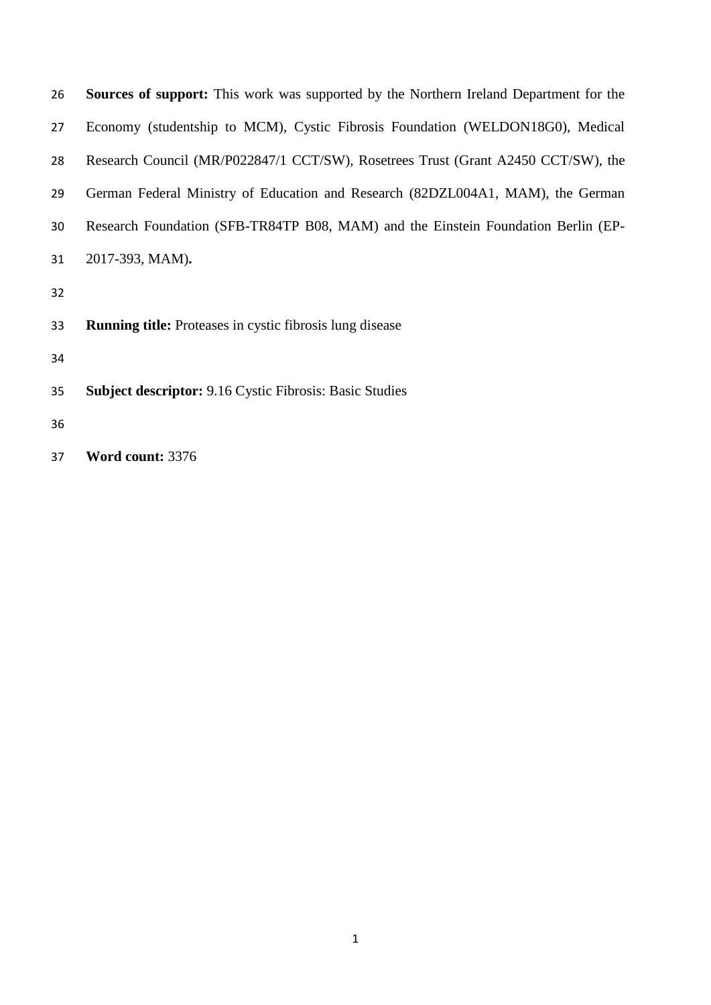| 26 | <b>Sources of support:</b> This work was supported by the Northern Ireland Department for the |
|----|-----------------------------------------------------------------------------------------------|
| 27 | Economy (studentship to MCM), Cystic Fibrosis Foundation (WELDON18G0), Medical                |
| 28 | Research Council (MR/P022847/1 CCT/SW), Rosetrees Trust (Grant A2450 CCT/SW), the             |
| 29 | German Federal Ministry of Education and Research (82DZL004A1, MAM), the German               |
| 30 | Research Foundation (SFB-TR84TP B08, MAM) and the Einstein Foundation Berlin (EP-             |
| 31 | 2017-393, MAM).                                                                               |
| 32 |                                                                                               |
| 33 | <b>Running title:</b> Proteases in cystic fibrosis lung disease                               |
| 34 |                                                                                               |
| 35 | <b>Subject descriptor:</b> 9.16 Cystic Fibrosis: Basic Studies                                |
| 36 |                                                                                               |
|    |                                                                                               |

**Word count:** 3376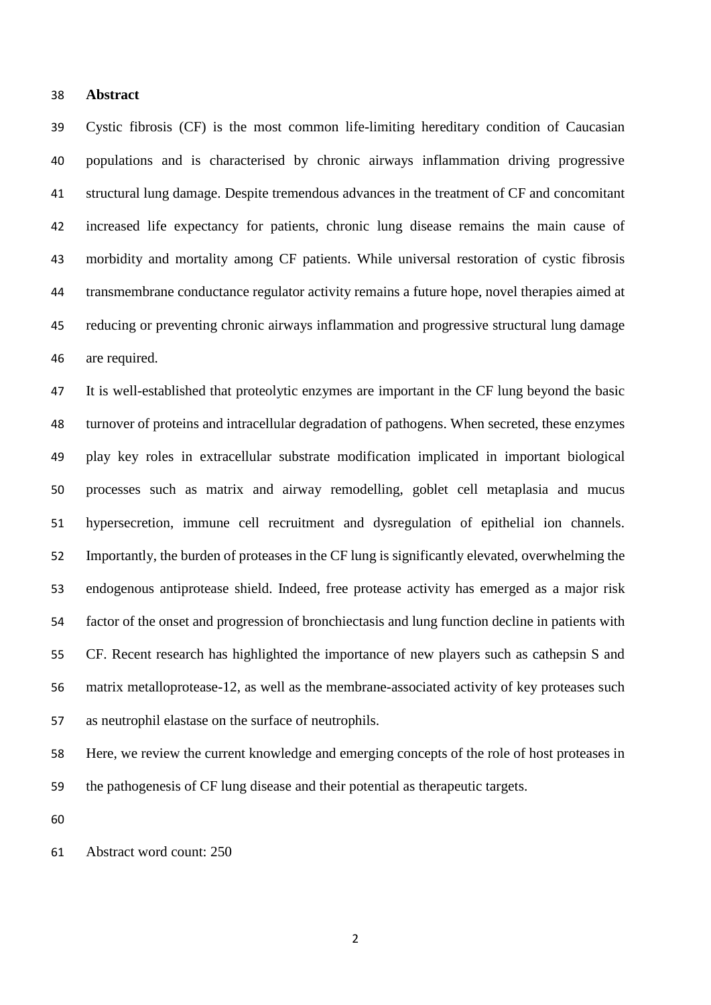### **Abstract**

 Cystic fibrosis (CF) is the most common life-limiting hereditary condition of Caucasian populations and is characterised by chronic airways inflammation driving progressive structural lung damage. Despite tremendous advances in the treatment of CF and concomitant increased life expectancy for patients, chronic lung disease remains the main cause of morbidity and mortality among CF patients. While universal restoration of cystic fibrosis transmembrane conductance regulator activity remains a future hope, novel therapies aimed at reducing or preventing chronic airways inflammation and progressive structural lung damage are required.

 It is well-established that proteolytic enzymes are important in the CF lung beyond the basic turnover of proteins and intracellular degradation of pathogens. When secreted, these enzymes play key roles in extracellular substrate modification implicated in important biological processes such as matrix and airway remodelling, goblet cell metaplasia and mucus hypersecretion, immune cell recruitment and dysregulation of epithelial ion channels. Importantly, the burden of proteases in the CF lung is significantly elevated, overwhelming the endogenous antiprotease shield. Indeed, free protease activity has emerged as a major risk factor of the onset and progression of bronchiectasis and lung function decline in patients with CF. Recent research has highlighted the importance of new players such as cathepsin S and matrix metalloprotease-12, as well as the membrane-associated activity of key proteases such as neutrophil elastase on the surface of neutrophils.

 Here, we review the current knowledge and emerging concepts of the role of host proteases in the pathogenesis of CF lung disease and their potential as therapeutic targets.

Abstract word count: 250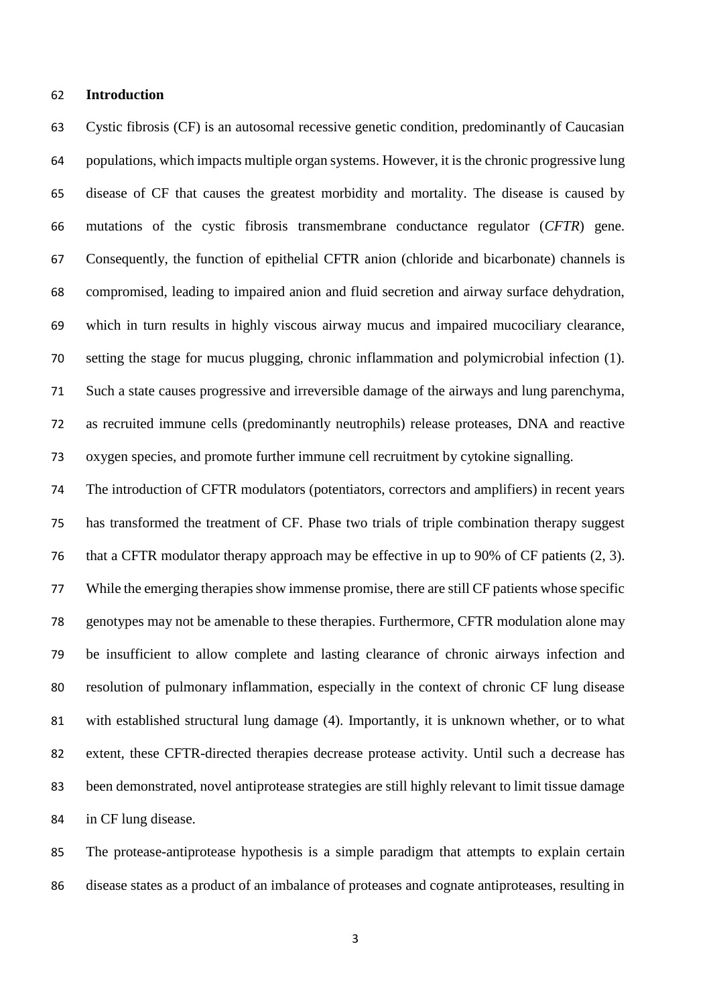### **Introduction**

 Cystic fibrosis (CF) is an autosomal recessive genetic condition, predominantly of Caucasian populations, which impacts multiple organ systems. However, it is the chronic progressive lung disease of CF that causes the greatest morbidity and mortality. The disease is caused by mutations of the cystic fibrosis transmembrane conductance regulator (*CFTR*) gene. Consequently, the function of epithelial CFTR anion (chloride and bicarbonate) channels is compromised, leading to impaired anion and fluid secretion and airway surface dehydration, which in turn results in highly viscous airway mucus and impaired mucociliary clearance, setting the stage for mucus plugging, chronic inflammation and polymicrobial infection (1). Such a state causes progressive and irreversible damage of the airways and lung parenchyma, as recruited immune cells (predominantly neutrophils) release proteases, DNA and reactive oxygen species, and promote further immune cell recruitment by cytokine signalling.

 The introduction of CFTR modulators (potentiators, correctors and amplifiers) in recent years has transformed the treatment of CF. Phase two trials of triple combination therapy suggest that a CFTR modulator therapy approach may be effective in up to 90% of CF patients (2, 3). While the emerging therapies show immense promise, there are still CF patients whose specific genotypes may not be amenable to these therapies. Furthermore, CFTR modulation alone may be insufficient to allow complete and lasting clearance of chronic airways infection and resolution of pulmonary inflammation, especially in the context of chronic CF lung disease with established structural lung damage (4). Importantly, it is unknown whether, or to what extent, these CFTR-directed therapies decrease protease activity. Until such a decrease has been demonstrated, novel antiprotease strategies are still highly relevant to limit tissue damage in CF lung disease.

 The protease-antiprotease hypothesis is a simple paradigm that attempts to explain certain disease states as a product of an imbalance of proteases and cognate antiproteases, resulting in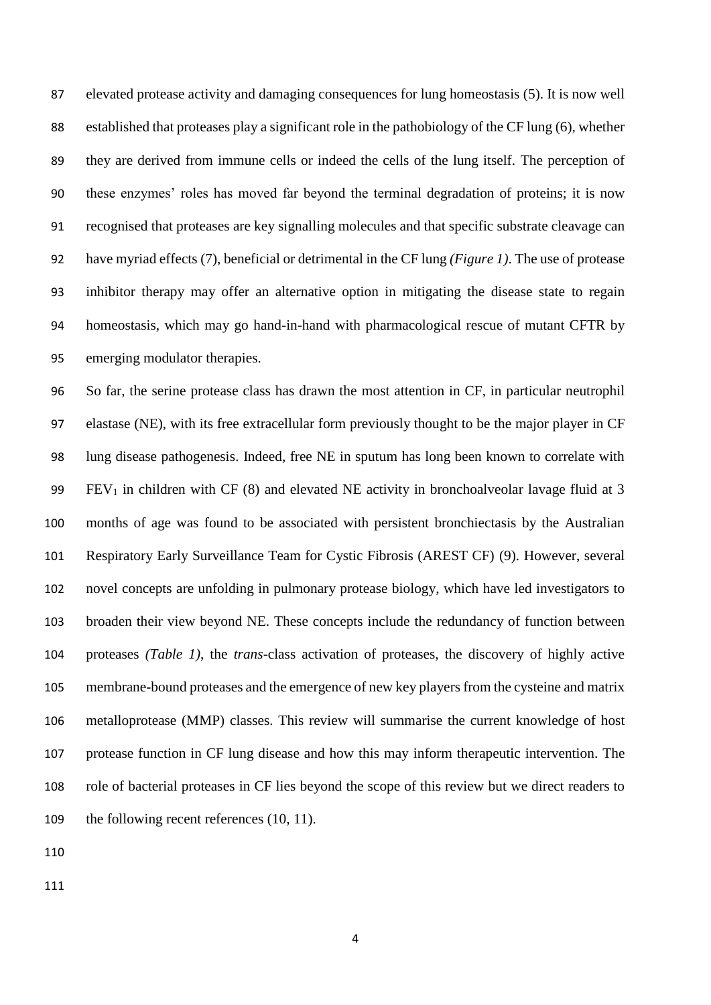elevated protease activity and damaging consequences for lung homeostasis (5). It is now well established that proteases play a significant role in the pathobiology of the CF lung (6), whether they are derived from immune cells or indeed the cells of the lung itself. The perception of these enzymes' roles has moved far beyond the terminal degradation of proteins; it is now recognised that proteases are key signalling molecules and that specific substrate cleavage can have myriad effects (7), beneficial or detrimental in the CF lung *(Figure 1)*. The use of protease inhibitor therapy may offer an alternative option in mitigating the disease state to regain homeostasis, which may go hand-in-hand with pharmacological rescue of mutant CFTR by emerging modulator therapies.

 So far, the serine protease class has drawn the most attention in CF, in particular neutrophil elastase (NE), with its free extracellular form previously thought to be the major player in CF lung disease pathogenesis. Indeed, free NE in sputum has long been known to correlate with 99 FEV<sub>1</sub> in children with CF (8) and elevated NE activity in bronchoalveolar lavage fluid at 3 months of age was found to be associated with persistent bronchiectasis by the Australian Respiratory Early Surveillance Team for Cystic Fibrosis (AREST CF) (9). However, several novel concepts are unfolding in pulmonary protease biology, which have led investigators to broaden their view beyond NE. These concepts include the redundancy of function between proteases *(Table 1)*, the *trans*-class activation of proteases, the discovery of highly active membrane-bound proteases and the emergence of new key players from the cysteine and matrix metalloprotease (MMP) classes. This review will summarise the current knowledge of host protease function in CF lung disease and how this may inform therapeutic intervention. The role of bacterial proteases in CF lies beyond the scope of this review but we direct readers to 109 the following recent references (10, 11).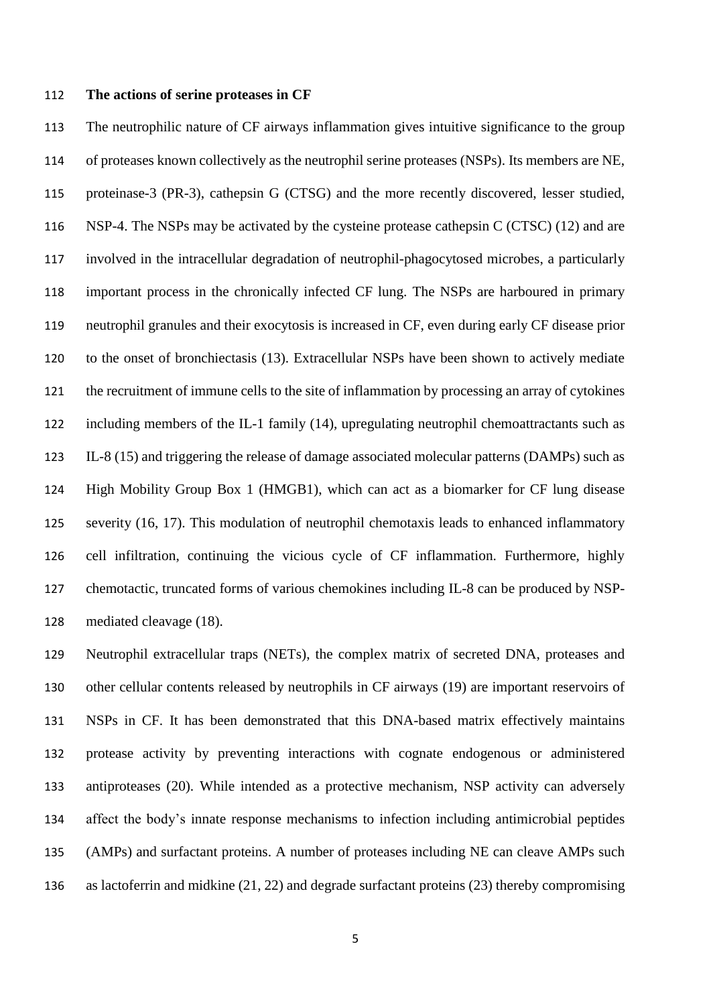### **The actions of serine proteases in CF**

 The neutrophilic nature of CF airways inflammation gives intuitive significance to the group of proteases known collectively as the neutrophil serine proteases (NSPs). Its members are NE, proteinase-3 (PR-3), cathepsin G (CTSG) and the more recently discovered, lesser studied, 116 NSP-4. The NSPs may be activated by the cysteine protease cathepsin C (CTSC) (12) and are involved in the intracellular degradation of neutrophil-phagocytosed microbes, a particularly important process in the chronically infected CF lung. The NSPs are harboured in primary neutrophil granules and their exocytosis is increased in CF, even during early CF disease prior to the onset of bronchiectasis (13). Extracellular NSPs have been shown to actively mediate the recruitment of immune cells to the site of inflammation by processing an array of cytokines including members of the IL-1 family (14), upregulating neutrophil chemoattractants such as IL-8 (15) and triggering the release of damage associated molecular patterns (DAMPs) such as High Mobility Group Box 1 (HMGB1), which can act as a biomarker for CF lung disease severity (16, 17). This modulation of neutrophil chemotaxis leads to enhanced inflammatory cell infiltration, continuing the vicious cycle of CF inflammation. Furthermore, highly chemotactic, truncated forms of various chemokines including IL-8 can be produced by NSP-mediated cleavage (18).

 Neutrophil extracellular traps (NETs), the complex matrix of secreted DNA, proteases and other cellular contents released by neutrophils in CF airways (19) are important reservoirs of NSPs in CF. It has been demonstrated that this DNA-based matrix effectively maintains protease activity by preventing interactions with cognate endogenous or administered antiproteases (20). While intended as a protective mechanism, NSP activity can adversely affect the body's innate response mechanisms to infection including antimicrobial peptides (AMPs) and surfactant proteins. A number of proteases including NE can cleave AMPs such as lactoferrin and midkine (21, 22) and degrade surfactant proteins (23) thereby compromising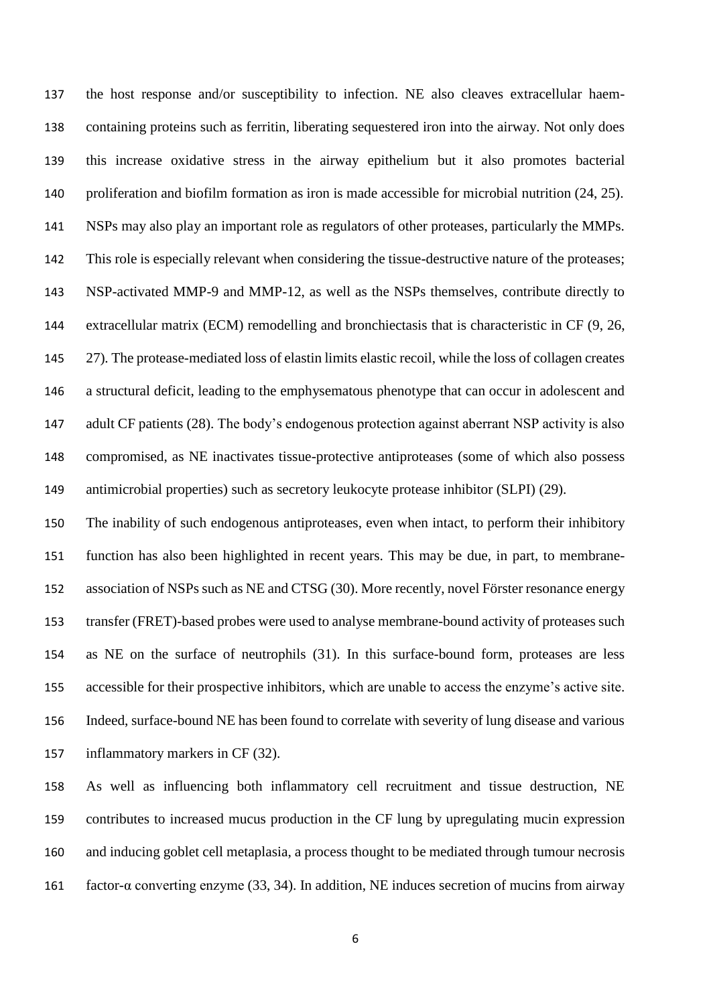the host response and/or susceptibility to infection. NE also cleaves extracellular haem- containing proteins such as ferritin, liberating sequestered iron into the airway. Not only does this increase oxidative stress in the airway epithelium but it also promotes bacterial 140 proliferation and biofilm formation as iron is made accessible for microbial nutrition (24, 25). NSPs may also play an important role as regulators of other proteases, particularly the MMPs. This role is especially relevant when considering the tissue-destructive nature of the proteases; NSP-activated MMP-9 and MMP-12, as well as the NSPs themselves, contribute directly to extracellular matrix (ECM) remodelling and bronchiectasis that is characteristic in CF (9, 26, 27)*.* The protease-mediated loss of elastin limits elastic recoil, while the loss of collagen creates a structural deficit, leading to the emphysematous phenotype that can occur in adolescent and 147 adult CF patients (28). The body's endogenous protection against aberrant NSP activity is also compromised, as NE inactivates tissue-protective antiproteases (some of which also possess antimicrobial properties) such as secretory leukocyte protease inhibitor (SLPI) (29).

 The inability of such endogenous antiproteases, even when intact, to perform their inhibitory function has also been highlighted in recent years. This may be due, in part, to membrane- association of NSPs such as NE and CTSG (30). More recently, novel Förster resonance energy transfer (FRET)-based probes were used to analyse membrane-bound activity of proteases such as NE on the surface of neutrophils (31). In this surface-bound form, proteases are less accessible for their prospective inhibitors, which are unable to access the enzyme's active site. Indeed, surface-bound NE has been found to correlate with severity of lung disease and various inflammatory markers in CF (32).

 As well as influencing both inflammatory cell recruitment and tissue destruction, NE contributes to increased mucus production in the CF lung by upregulating mucin expression and inducing goblet cell metaplasia, a process thought to be mediated through tumour necrosis factor-α converting enzyme (33, 34). In addition, NE induces secretion of mucins from airway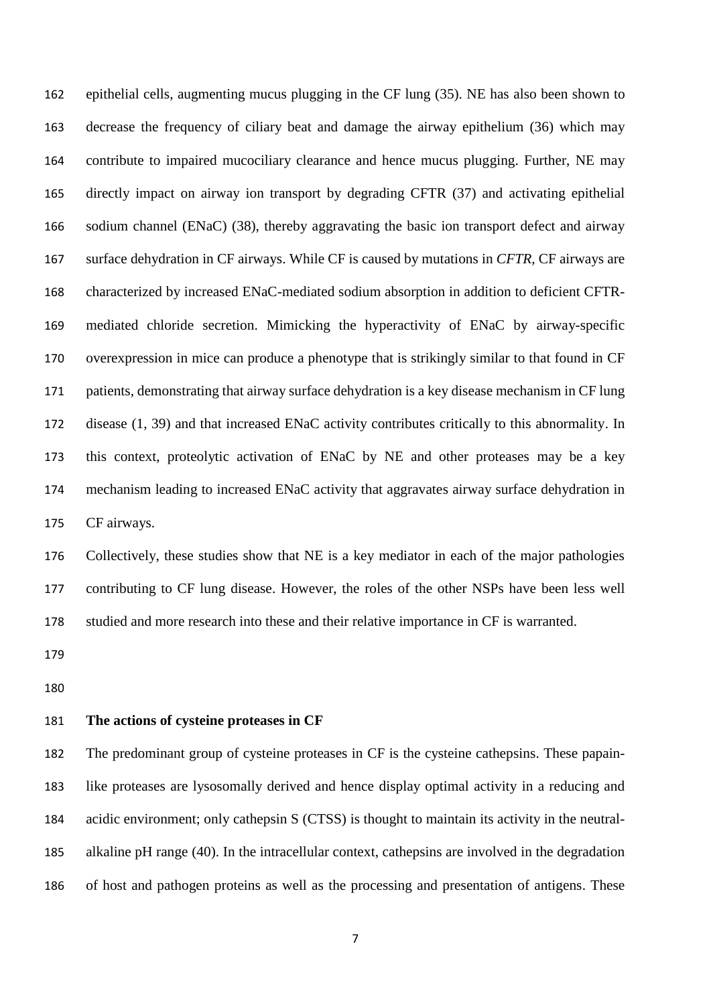epithelial cells, augmenting mucus plugging in the CF lung (35). NE has also been shown to decrease the frequency of ciliary beat and damage the airway epithelium (36) which may contribute to impaired mucociliary clearance and hence mucus plugging. Further, NE may directly impact on airway ion transport by degrading CFTR (37) and activating epithelial sodium channel (ENaC) (38), thereby aggravating the basic ion transport defect and airway surface dehydration in CF airways. While CF is caused by mutations in *CFTR*, CF airways are characterized by increased ENaC-mediated sodium absorption in addition to deficient CFTR- mediated chloride secretion. Mimicking the hyperactivity of ENaC by airway-specific overexpression in mice can produce a phenotype that is strikingly similar to that found in CF patients, demonstrating that airway surface dehydration is a key disease mechanism in CF lung disease (1, 39) and that increased ENaC activity contributes critically to this abnormality. In this context, proteolytic activation of ENaC by NE and other proteases may be a key mechanism leading to increased ENaC activity that aggravates airway surface dehydration in CF airways.

 Collectively, these studies show that NE is a key mediator in each of the major pathologies contributing to CF lung disease. However, the roles of the other NSPs have been less well studied and more research into these and their relative importance in CF is warranted.

### **The actions of cysteine proteases in CF**

 The predominant group of cysteine proteases in CF is the cysteine cathepsins. These papain- like proteases are lysosomally derived and hence display optimal activity in a reducing and acidic environment; only cathepsin S (CTSS) is thought to maintain its activity in the neutral- alkaline pH range (40). In the intracellular context, cathepsins are involved in the degradation of host and pathogen proteins as well as the processing and presentation of antigens. These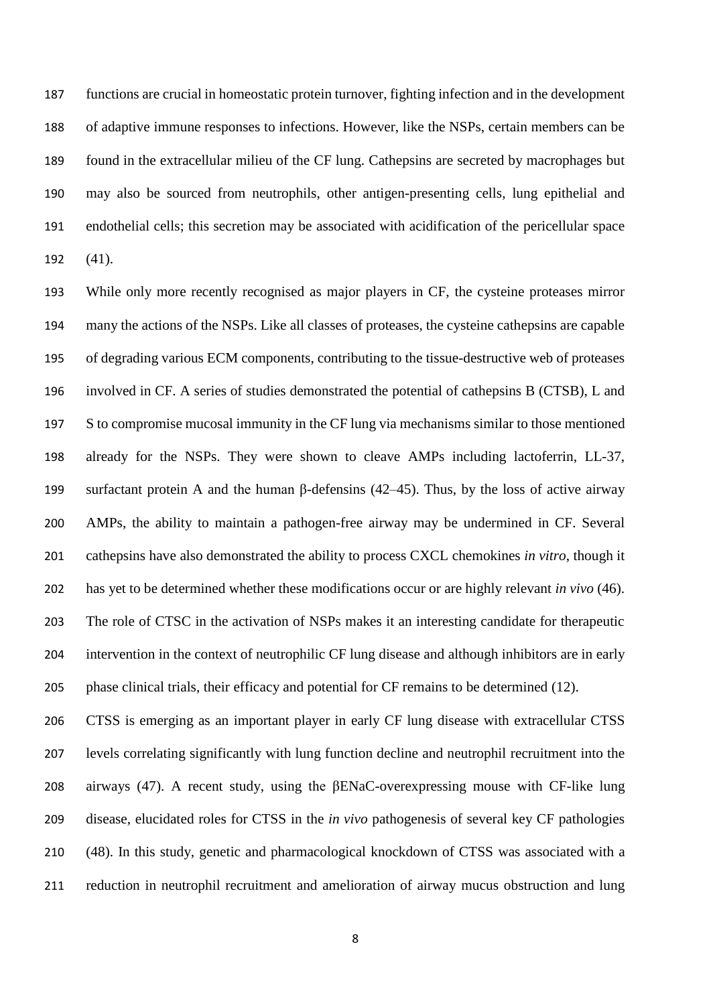functions are crucial in homeostatic protein turnover, fighting infection and in the development of adaptive immune responses to infections. However, like the NSPs, certain members can be found in the extracellular milieu of the CF lung. Cathepsins are secreted by macrophages but may also be sourced from neutrophils, other antigen-presenting cells, lung epithelial and endothelial cells; this secretion may be associated with acidification of the pericellular space (41).

 While only more recently recognised as major players in CF, the cysteine proteases mirror many the actions of the NSPs. Like all classes of proteases, the cysteine cathepsins are capable of degrading various ECM components, contributing to the tissue-destructive web of proteases involved in CF. A series of studies demonstrated the potential of cathepsins B (CTSB), L and S to compromise mucosal immunity in the CF lung via mechanisms similar to those mentioned already for the NSPs. They were shown to cleave AMPs including lactoferrin, LL-37, surfactant protein A and the human β-defensins (42–45). Thus, by the loss of active airway AMPs, the ability to maintain a pathogen-free airway may be undermined in CF. Several cathepsins have also demonstrated the ability to process CXCL chemokines *in vitro*, though it has yet to be determined whether these modifications occur or are highly relevant *in vivo* (46). The role of CTSC in the activation of NSPs makes it an interesting candidate for therapeutic intervention in the context of neutrophilic CF lung disease and although inhibitors are in early phase clinical trials, their efficacy and potential for CF remains to be determined (12).

 CTSS is emerging as an important player in early CF lung disease with extracellular CTSS levels correlating significantly with lung function decline and neutrophil recruitment into the airways (47). A recent study, using the βENaC-overexpressing mouse with CF-like lung disease, elucidated roles for CTSS in the *in vivo* pathogenesis of several key CF pathologies (48). In this study, genetic and pharmacological knockdown of CTSS was associated with a reduction in neutrophil recruitment and amelioration of airway mucus obstruction and lung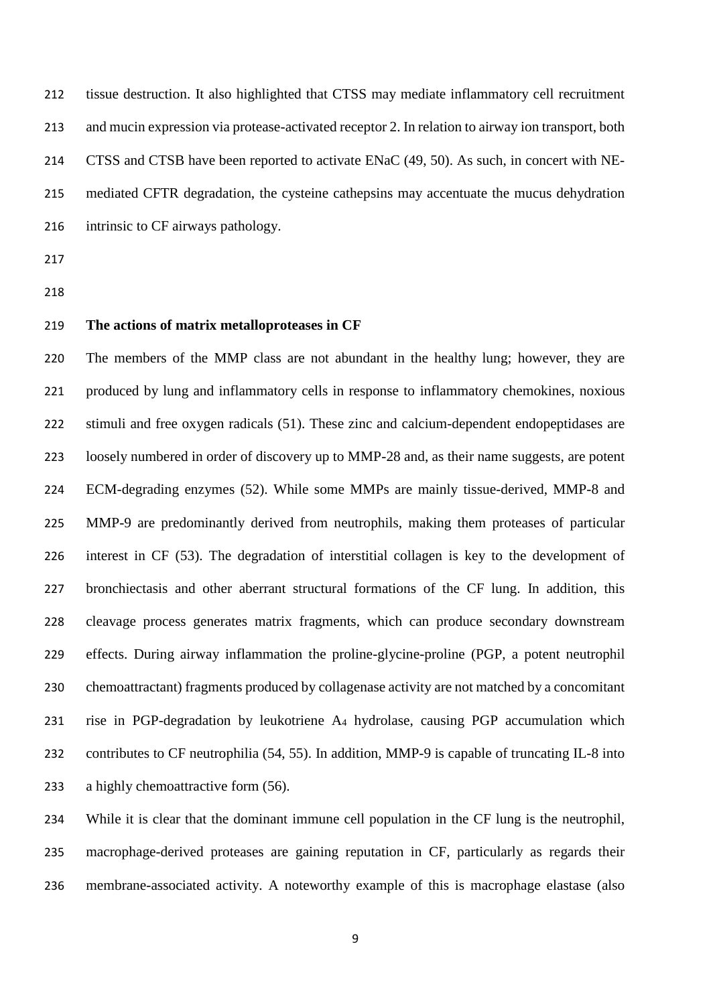tissue destruction. It also highlighted that CTSS may mediate inflammatory cell recruitment and mucin expression via protease-activated receptor 2. In relation to airway ion transport, both CTSS and CTSB have been reported to activate ENaC (49, 50). As such, in concert with NE- mediated CFTR degradation, the cysteine cathepsins may accentuate the mucus dehydration intrinsic to CF airways pathology.

- 
- 

## **The actions of matrix metalloproteases in CF**

 The members of the MMP class are not abundant in the healthy lung; however, they are produced by lung and inflammatory cells in response to inflammatory chemokines, noxious stimuli and free oxygen radicals (51). These zinc and calcium-dependent endopeptidases are loosely numbered in order of discovery up to MMP-28 and, as their name suggests, are potent ECM-degrading enzymes (52). While some MMPs are mainly tissue-derived, MMP-8 and MMP-9 are predominantly derived from neutrophils, making them proteases of particular interest in CF (53). The degradation of interstitial collagen is key to the development of bronchiectasis and other aberrant structural formations of the CF lung. In addition, this cleavage process generates matrix fragments, which can produce secondary downstream effects. During airway inflammation the proline-glycine-proline (PGP, a potent neutrophil chemoattractant) fragments produced by collagenase activity are not matched by a concomitant rise in PGP-degradation by leukotriene A<sup>4</sup> hydrolase, causing PGP accumulation which contributes to CF neutrophilia (54, 55). In addition, MMP-9 is capable of truncating IL-8 into 233 a highly chemoattractive form (56).

 While it is clear that the dominant immune cell population in the CF lung is the neutrophil, macrophage-derived proteases are gaining reputation in CF, particularly as regards their membrane-associated activity. A noteworthy example of this is macrophage elastase (also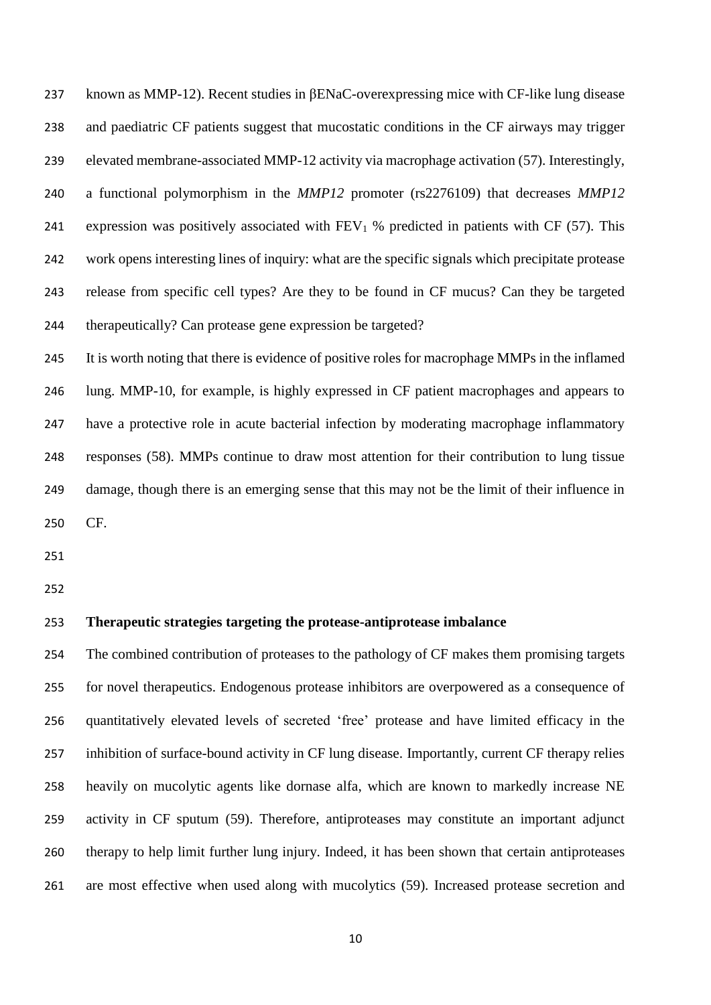known as MMP-12). Recent studies in βENaC-overexpressing mice with CF-like lung disease and paediatric CF patients suggest that mucostatic conditions in the CF airways may trigger elevated membrane-associated MMP-12 activity via macrophage activation (57). Interestingly, a functional polymorphism in the *MMP12* promoter (rs2276109) that decreases *MMP12*  241 expression was positively associated with  $FEV<sub>1</sub>$ % predicted in patients with CF (57). This work opens interesting lines of inquiry: what are the specific signals which precipitate protease release from specific cell types? Are they to be found in CF mucus? Can they be targeted therapeutically? Can protease gene expression be targeted?

 It is worth noting that there is evidence of positive roles for macrophage MMPs in the inflamed lung. MMP-10, for example, is highly expressed in CF patient macrophages and appears to have a protective role in acute bacterial infection by moderating macrophage inflammatory responses (58). MMPs continue to draw most attention for their contribution to lung tissue damage, though there is an emerging sense that this may not be the limit of their influence in CF.

## **Therapeutic strategies targeting the protease-antiprotease imbalance**

 The combined contribution of proteases to the pathology of CF makes them promising targets for novel therapeutics. Endogenous protease inhibitors are overpowered as a consequence of quantitatively elevated levels of secreted 'free' protease and have limited efficacy in the inhibition of surface-bound activity in CF lung disease. Importantly, current CF therapy relies heavily on mucolytic agents like dornase alfa, which are known to markedly increase NE activity in CF sputum (59). Therefore, antiproteases may constitute an important adjunct therapy to help limit further lung injury. Indeed, it has been shown that certain antiproteases are most effective when used along with mucolytics (59). Increased protease secretion and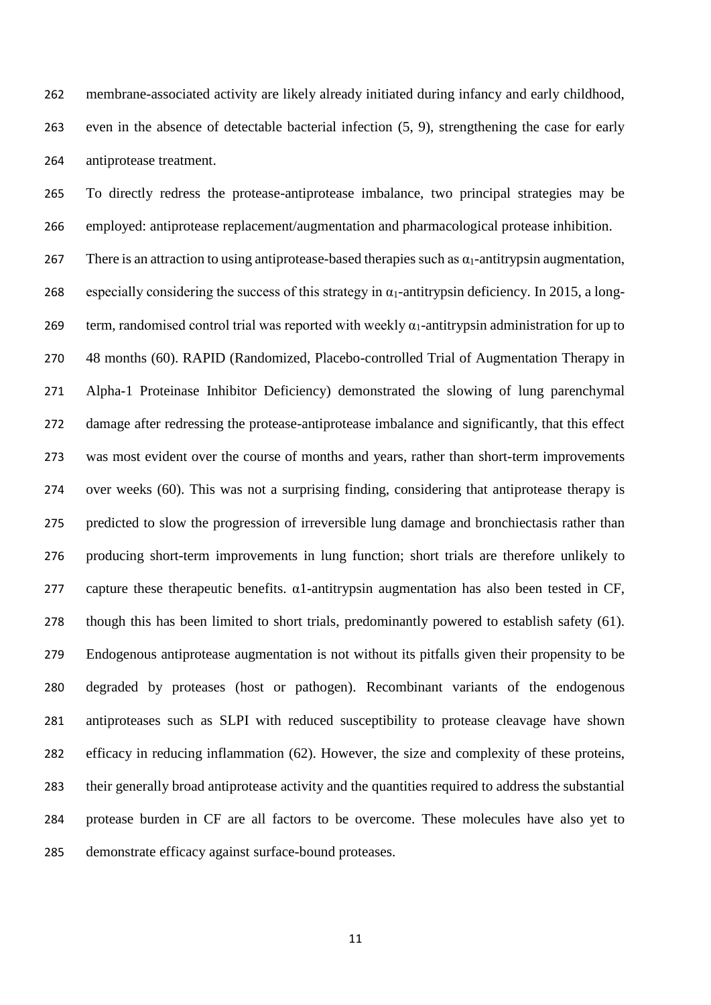membrane-associated activity are likely already initiated during infancy and early childhood, even in the absence of detectable bacterial infection (5, 9), strengthening the case for early antiprotease treatment.

 To directly redress the protease-antiprotease imbalance, two principal strategies may be employed: antiprotease replacement/augmentation and pharmacological protease inhibition.

267 There is an attraction to using antiprotease-based therapies such as  $\alpha_1$ -antitrypsin augmentation, 268 especially considering the success of this strategy in  $\alpha_1$ -antitrypsin deficiency. In 2015, a long-269 term, randomised control trial was reported with weekly  $\alpha_1$ -antitrypsin administration for up to 48 months (60). RAPID (Randomized, Placebo-controlled Trial of Augmentation Therapy in Alpha-1 Proteinase Inhibitor Deficiency) demonstrated the slowing of lung parenchymal damage after redressing the protease-antiprotease imbalance and significantly, that this effect was most evident over the course of months and years, rather than short-term improvements over weeks (60). This was not a surprising finding, considering that antiprotease therapy is predicted to slow the progression of irreversible lung damage and bronchiectasis rather than producing short-term improvements in lung function; short trials are therefore unlikely to 277 capture these therapeutic benefits.  $\alpha$ 1-antitrypsin augmentation has also been tested in CF, though this has been limited to short trials, predominantly powered to establish safety (61). Endogenous antiprotease augmentation is not without its pitfalls given their propensity to be degraded by proteases (host or pathogen). Recombinant variants of the endogenous antiproteases such as SLPI with reduced susceptibility to protease cleavage have shown efficacy in reducing inflammation (62). However, the size and complexity of these proteins, their generally broad antiprotease activity and the quantities required to address the substantial protease burden in CF are all factors to be overcome. These molecules have also yet to demonstrate efficacy against surface-bound proteases.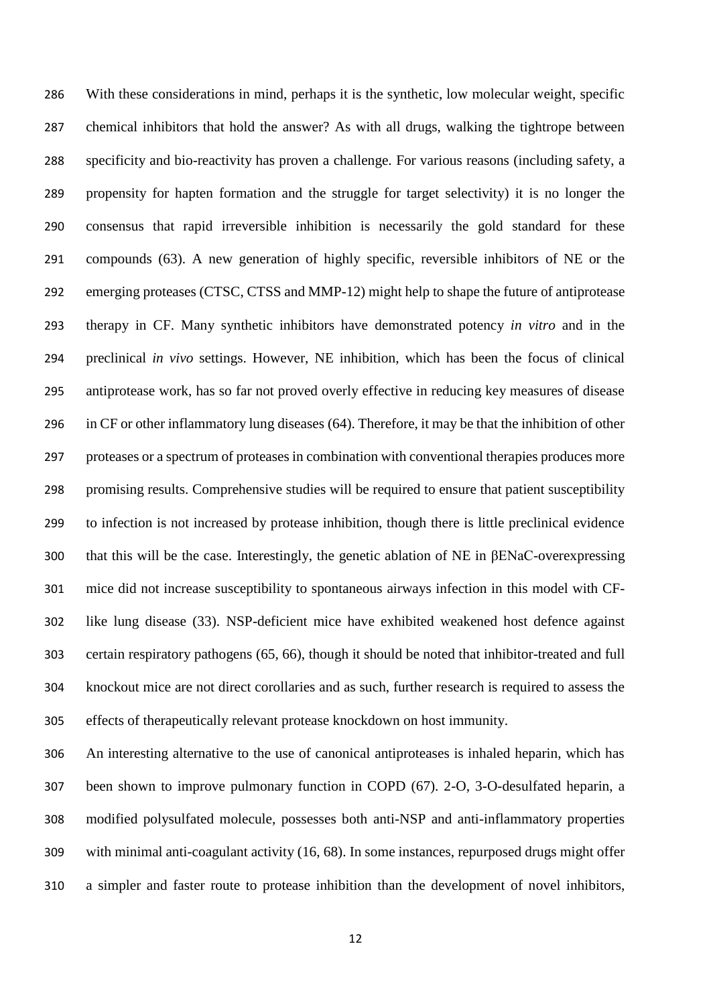With these considerations in mind, perhaps it is the synthetic, low molecular weight, specific chemical inhibitors that hold the answer? As with all drugs, walking the tightrope between specificity and bio-reactivity has proven a challenge. For various reasons (including safety, a propensity for hapten formation and the struggle for target selectivity) it is no longer the consensus that rapid irreversible inhibition is necessarily the gold standard for these compounds (63). A new generation of highly specific, reversible inhibitors of NE or the emerging proteases (CTSC, CTSS and MMP-12) might help to shape the future of antiprotease therapy in CF. Many synthetic inhibitors have demonstrated potency *in vitro* and in the preclinical *in vivo* settings. However, NE inhibition, which has been the focus of clinical antiprotease work, has so far not proved overly effective in reducing key measures of disease in CF or other inflammatory lung diseases (64). Therefore, it may be that the inhibition of other proteases or a spectrum of proteases in combination with conventional therapies produces more promising results. Comprehensive studies will be required to ensure that patient susceptibility to infection is not increased by protease inhibition, though there is little preclinical evidence that this will be the case. Interestingly, the genetic ablation of NE in βENaC-overexpressing mice did not increase susceptibility to spontaneous airways infection in this model with CF- like lung disease (33). NSP-deficient mice have exhibited weakened host defence against certain respiratory pathogens (65, 66), though it should be noted that inhibitor-treated and full knockout mice are not direct corollaries and as such, further research is required to assess the effects of therapeutically relevant protease knockdown on host immunity.

 An interesting alternative to the use of canonical antiproteases is inhaled heparin, which has been shown to improve pulmonary function in COPD (67). 2-O, 3-O-desulfated heparin, a modified polysulfated molecule, possesses both anti-NSP and anti-inflammatory properties with minimal anti-coagulant activity (16, 68). In some instances, repurposed drugs might offer a simpler and faster route to protease inhibition than the development of novel inhibitors,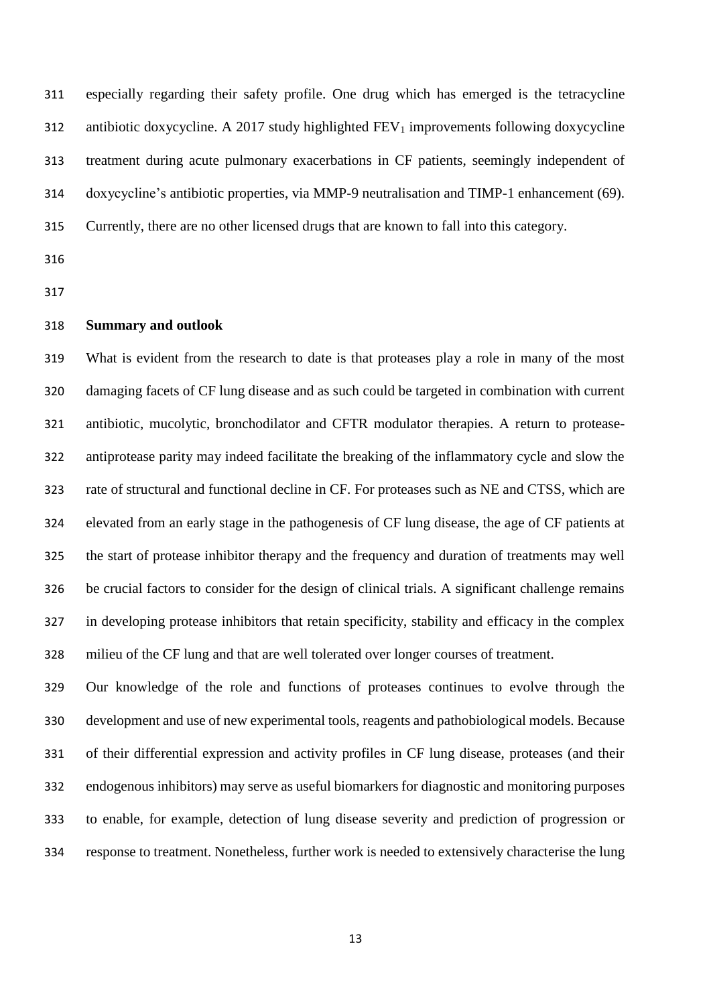especially regarding their safety profile. One drug which has emerged is the tetracycline 312 antibiotic doxycycline. A 2017 study highlighted  $FEV_1$  improvements following doxycycline treatment during acute pulmonary exacerbations in CF patients, seemingly independent of doxycycline's antibiotic properties, via MMP-9 neutralisation and TIMP-1 enhancement (69). Currently, there are no other licensed drugs that are known to fall into this category.

## **Summary and outlook**

 What is evident from the research to date is that proteases play a role in many of the most damaging facets of CF lung disease and as such could be targeted in combination with current antibiotic, mucolytic, bronchodilator and CFTR modulator therapies. A return to protease- antiprotease parity may indeed facilitate the breaking of the inflammatory cycle and slow the rate of structural and functional decline in CF. For proteases such as NE and CTSS, which are elevated from an early stage in the pathogenesis of CF lung disease, the age of CF patients at the start of protease inhibitor therapy and the frequency and duration of treatments may well be crucial factors to consider for the design of clinical trials. A significant challenge remains in developing protease inhibitors that retain specificity, stability and efficacy in the complex milieu of the CF lung and that are well tolerated over longer courses of treatment.

 Our knowledge of the role and functions of proteases continues to evolve through the development and use of new experimental tools, reagents and pathobiological models. Because of their differential expression and activity profiles in CF lung disease, proteases (and their endogenous inhibitors) may serve as useful biomarkers for diagnostic and monitoring purposes to enable, for example, detection of lung disease severity and prediction of progression or response to treatment. Nonetheless, further work is needed to extensively characterise the lung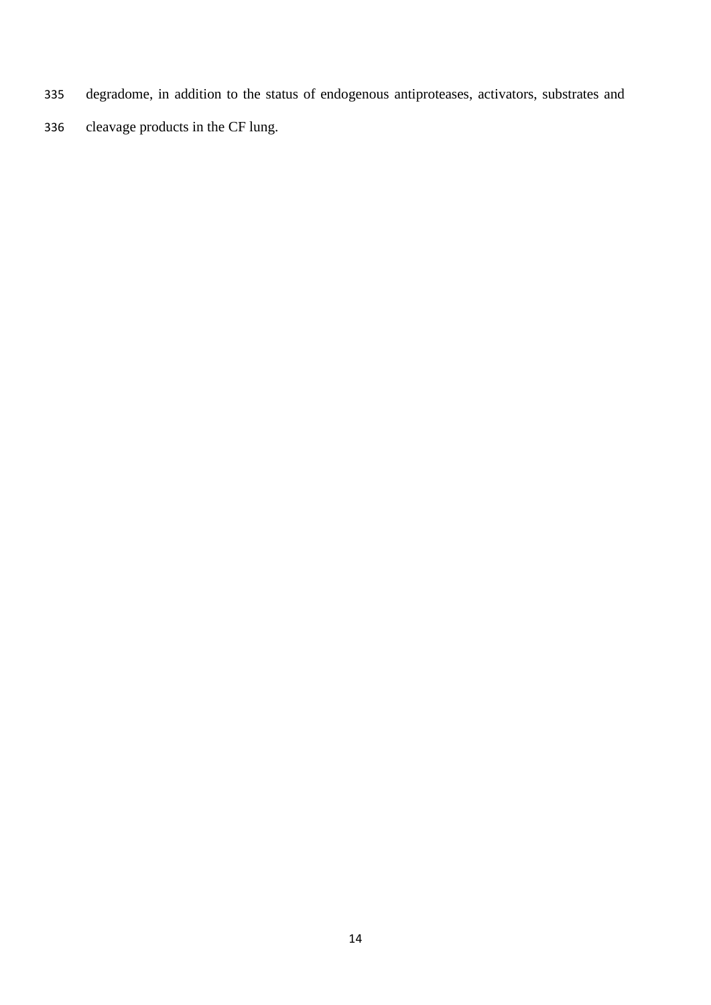- degradome, in addition to the status of endogenous antiproteases, activators, substrates and
- cleavage products in the CF lung.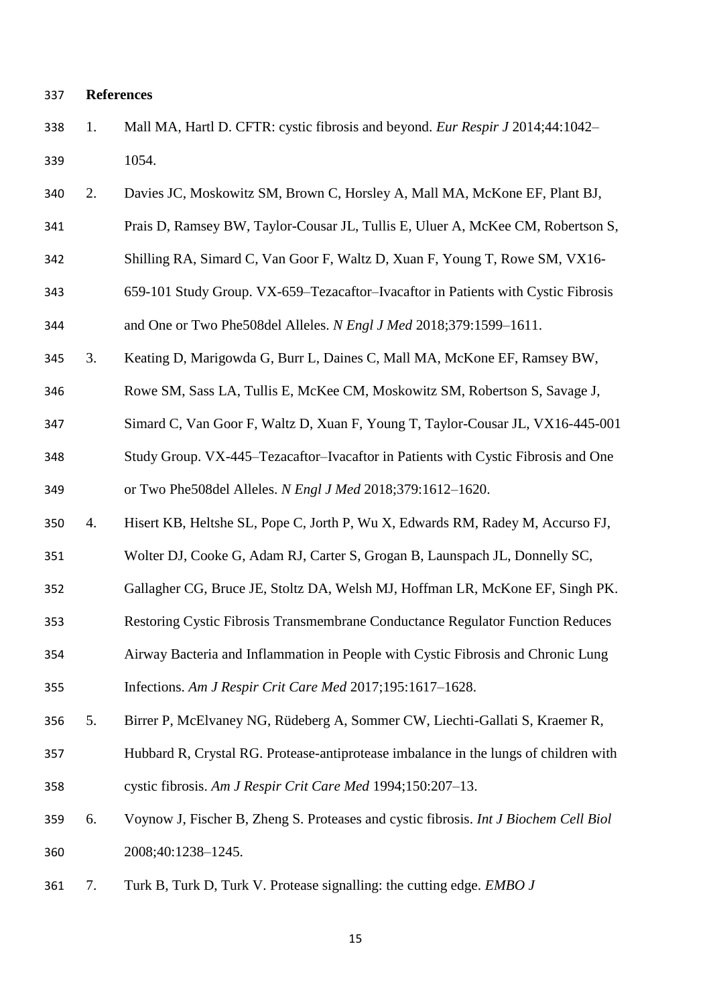### **References**

- 1. Mall MA, Hartl D. CFTR: cystic fibrosis and beyond. *Eur Respir J* 2014;44:1042– 1054.
- 2. Davies JC, Moskowitz SM, Brown C, Horsley A, Mall MA, McKone EF, Plant BJ,
- Prais D, Ramsey BW, Taylor-Cousar JL, Tullis E, Uluer A, McKee CM, Robertson S,
- Shilling RA, Simard C, Van Goor F, Waltz D, Xuan F, Young T, Rowe SM, VX16-
- 659-101 Study Group. VX-659–Tezacaftor–Ivacaftor in Patients with Cystic Fibrosis and One or Two Phe508del Alleles. *N Engl J Med* 2018;379:1599–1611.
- 3. Keating D, Marigowda G, Burr L, Daines C, Mall MA, McKone EF, Ramsey BW,
- Rowe SM, Sass LA, Tullis E, McKee CM, Moskowitz SM, Robertson S, Savage J,
- Simard C, Van Goor F, Waltz D, Xuan F, Young T, Taylor-Cousar JL, VX16-445-001
- Study Group. VX-445–Tezacaftor–Ivacaftor in Patients with Cystic Fibrosis and One or Two Phe508del Alleles. *N Engl J Med* 2018;379:1612–1620.
- 4. Hisert KB, Heltshe SL, Pope C, Jorth P, Wu X, Edwards RM, Radey M, Accurso FJ,
- Wolter DJ, Cooke G, Adam RJ, Carter S, Grogan B, Launspach JL, Donnelly SC,
- Gallagher CG, Bruce JE, Stoltz DA, Welsh MJ, Hoffman LR, McKone EF, Singh PK.
- Restoring Cystic Fibrosis Transmembrane Conductance Regulator Function Reduces
- Airway Bacteria and Inflammation in People with Cystic Fibrosis and Chronic Lung

Infections. *Am J Respir Crit Care Med* 2017;195:1617–1628.

- 5. Birrer P, McElvaney NG, Rüdeberg A, Sommer CW, Liechti-Gallati S, Kraemer R,
- Hubbard R, Crystal RG. Protease-antiprotease imbalance in the lungs of children with cystic fibrosis. *Am J Respir Crit Care Med* 1994;150:207–13.
- 6. Voynow J, Fischer B, Zheng S. Proteases and cystic fibrosis. *Int J Biochem Cell Biol* 2008;40:1238–1245.
- 7. Turk B, Turk D, Turk V. Protease signalling: the cutting edge. *EMBO J*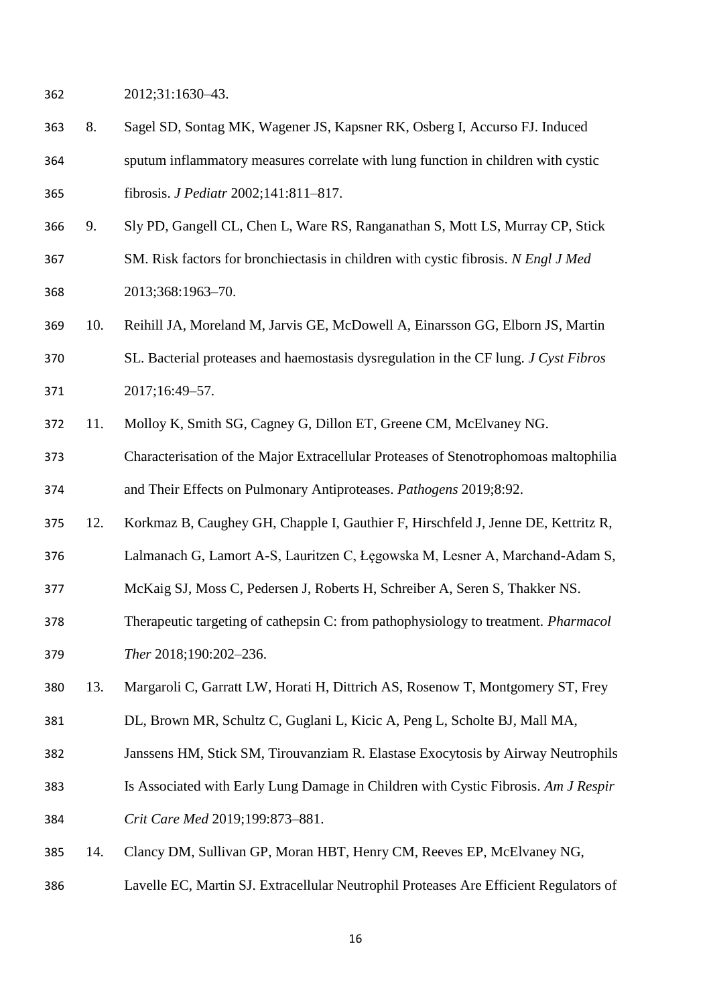- 2012;31:1630–43.
- 8. Sagel SD, Sontag MK, Wagener JS, Kapsner RK, Osberg I, Accurso FJ. Induced sputum inflammatory measures correlate with lung function in children with cystic fibrosis. *J Pediatr* 2002;141:811–817.
- 9. Sly PD, Gangell CL, Chen L, Ware RS, Ranganathan S, Mott LS, Murray CP, Stick SM. Risk factors for bronchiectasis in children with cystic fibrosis. *N Engl J Med* 2013;368:1963–70.
- 10. Reihill JA, Moreland M, Jarvis GE, McDowell A, Einarsson GG, Elborn JS, Martin SL. Bacterial proteases and haemostasis dysregulation in the CF lung. *J Cyst Fibros* 2017;16:49–57.
- 11. Molloy K, Smith SG, Cagney G, Dillon ET, Greene CM, McElvaney NG.
- Characterisation of the Major Extracellular Proteases of Stenotrophomoas maltophilia and Their Effects on Pulmonary Antiproteases. *Pathogens* 2019;8:92.
- 12. Korkmaz B, Caughey GH, Chapple I, Gauthier F, Hirschfeld J, Jenne DE, Kettritz R,
- 376 Lalmanach G, Lamort A-S, Lauritzen C, Łegowska M, Lesner A, Marchand-Adam S,
- McKaig SJ, Moss C, Pedersen J, Roberts H, Schreiber A, Seren S, Thakker NS.
- Therapeutic targeting of cathepsin C: from pathophysiology to treatment. *Pharmacol Ther* 2018;190:202–236.
- 13. Margaroli C, Garratt LW, Horati H, Dittrich AS, Rosenow T, Montgomery ST, Frey
- DL, Brown MR, Schultz C, Guglani L, Kicic A, Peng L, Scholte BJ, Mall MA,
- Janssens HM, Stick SM, Tirouvanziam R. Elastase Exocytosis by Airway Neutrophils
- Is Associated with Early Lung Damage in Children with Cystic Fibrosis. *Am J Respir*
- *Crit Care Med* 2019;199:873–881.
- 14. Clancy DM, Sullivan GP, Moran HBT, Henry CM, Reeves EP, McElvaney NG,
- Lavelle EC, Martin SJ. Extracellular Neutrophil Proteases Are Efficient Regulators of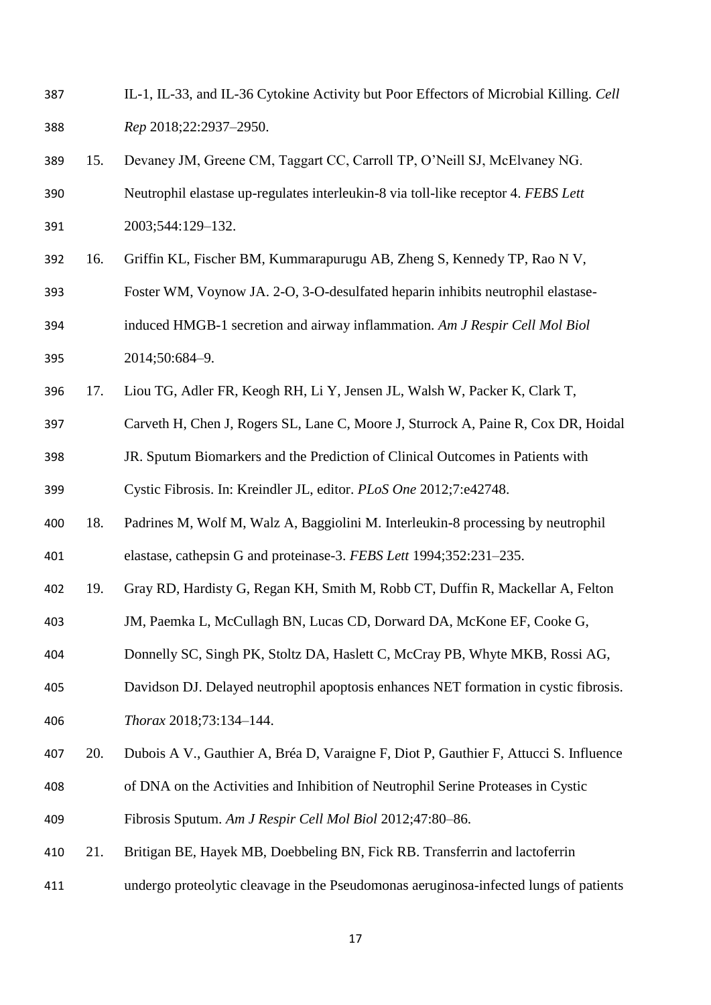| 387 |     | IL-1, IL-33, and IL-36 Cytokine Activity but Poor Effectors of Microbial Killing. Cell |
|-----|-----|----------------------------------------------------------------------------------------|
| 388 |     | Rep 2018;22:2937-2950.                                                                 |
| 389 | 15. | Devaney JM, Greene CM, Taggart CC, Carroll TP, O'Neill SJ, McElvaney NG.               |
| 390 |     | Neutrophil elastase up-regulates interleukin-8 via toll-like receptor 4. FEBS Lett     |
| 391 |     | 2003;544:129-132.                                                                      |
| 392 | 16. | Griffin KL, Fischer BM, Kummarapurugu AB, Zheng S, Kennedy TP, Rao N V,                |
| 393 |     | Foster WM, Voynow JA. 2-O, 3-O-desulfated heparin inhibits neutrophil elastase-        |
| 394 |     | induced HMGB-1 secretion and airway inflammation. Am J Respir Cell Mol Biol            |
| 395 |     | 2014;50:684-9.                                                                         |
| 396 | 17. | Liou TG, Adler FR, Keogh RH, Li Y, Jensen JL, Walsh W, Packer K, Clark T,              |
| 397 |     | Carveth H, Chen J, Rogers SL, Lane C, Moore J, Sturrock A, Paine R, Cox DR, Hoidal     |
| 398 |     | JR. Sputum Biomarkers and the Prediction of Clinical Outcomes in Patients with         |
| 399 |     | Cystic Fibrosis. In: Kreindler JL, editor. PLoS One 2012;7:e42748.                     |
| 400 | 18. | Padrines M, Wolf M, Walz A, Baggiolini M. Interleukin-8 processing by neutrophil       |
| 401 |     | elastase, cathepsin G and proteinase-3. FEBS Lett 1994;352:231-235.                    |
| 402 | 19. | Gray RD, Hardisty G, Regan KH, Smith M, Robb CT, Duffin R, Mackellar A, Felton         |
| 403 |     | JM, Paemka L, McCullagh BN, Lucas CD, Dorward DA, McKone EF, Cooke G,                  |
| 404 |     | Donnelly SC, Singh PK, Stoltz DA, Haslett C, McCray PB, Whyte MKB, Rossi AG,           |
| 405 |     | Davidson DJ. Delayed neutrophil apoptosis enhances NET formation in cystic fibrosis.   |
| 406 |     | Thorax 2018;73:134-144.                                                                |
| 407 | 20. | Dubois A V., Gauthier A, Bréa D, Varaigne F, Diot P, Gauthier F, Attucci S. Influence  |
| 408 |     | of DNA on the Activities and Inhibition of Neutrophil Serine Proteases in Cystic       |
| 409 |     | Fibrosis Sputum. Am J Respir Cell Mol Biol 2012;47:80-86.                              |
| 410 | 21. | Britigan BE, Hayek MB, Doebbeling BN, Fick RB. Transferrin and lactoferrin             |
| 411 |     | undergo proteolytic cleavage in the Pseudomonas aeruginosa-infected lungs of patients  |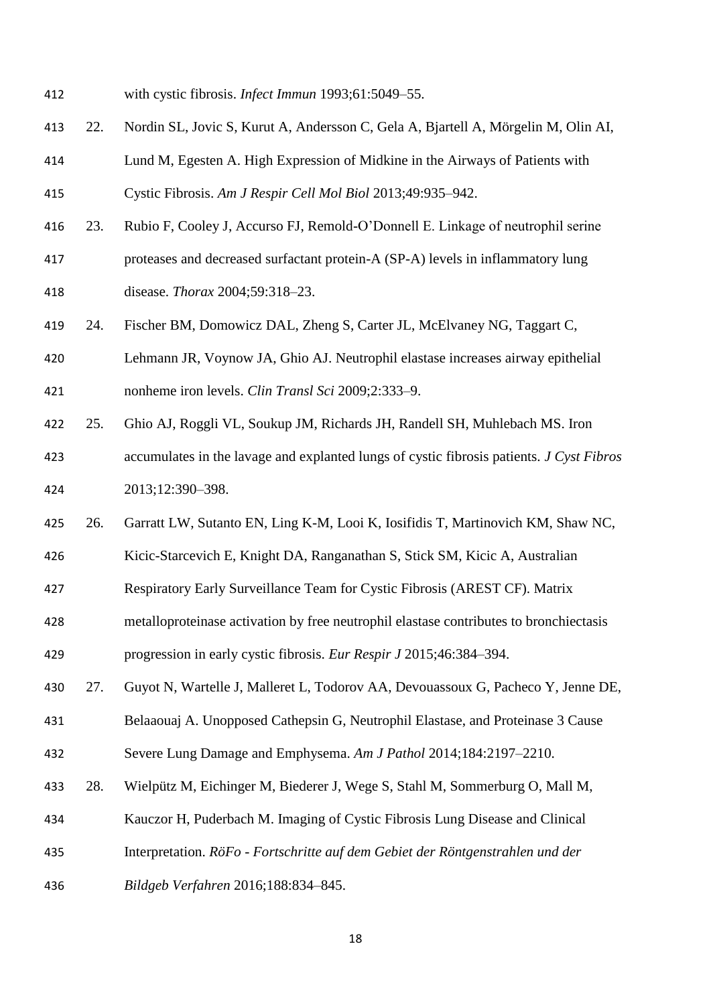- with cystic fibrosis. *Infect Immun* 1993;61:5049–55.
- 22. Nordin SL, Jovic S, Kurut A, Andersson C, Gela A, Bjartell A, Mörgelin M, Olin AI,
- Lund M, Egesten A. High Expression of Midkine in the Airways of Patients with Cystic Fibrosis. *Am J Respir Cell Mol Biol* 2013;49:935–942.
- 23. Rubio F, Cooley J, Accurso FJ, Remold-O'Donnell E. Linkage of neutrophil serine
- proteases and decreased surfactant protein-A (SP-A) levels in inflammatory lung

disease. *Thorax* 2004;59:318–23.

- 24. Fischer BM, Domowicz DAL, Zheng S, Carter JL, McElvaney NG, Taggart C,
- Lehmann JR, Voynow JA, Ghio AJ. Neutrophil elastase increases airway epithelial nonheme iron levels. *Clin Transl Sci* 2009;2:333–9.
- 25. Ghio AJ, Roggli VL, Soukup JM, Richards JH, Randell SH, Muhlebach MS. Iron
- accumulates in the lavage and explanted lungs of cystic fibrosis patients. *J Cyst Fibros* 2013;12:390–398.
- 26. Garratt LW, Sutanto EN, Ling K-M, Looi K, Iosifidis T, Martinovich KM, Shaw NC,
- Kicic-Starcevich E, Knight DA, Ranganathan S, Stick SM, Kicic A, Australian
- Respiratory Early Surveillance Team for Cystic Fibrosis (AREST CF). Matrix
- metalloproteinase activation by free neutrophil elastase contributes to bronchiectasis

progression in early cystic fibrosis. *Eur Respir J* 2015;46:384–394.

- 27. Guyot N, Wartelle J, Malleret L, Todorov AA, Devouassoux G, Pacheco Y, Jenne DE,
- Belaaouaj A. Unopposed Cathepsin G, Neutrophil Elastase, and Proteinase 3 Cause
- Severe Lung Damage and Emphysema. *Am J Pathol* 2014;184:2197–2210.
- 28. Wielpütz M, Eichinger M, Biederer J, Wege S, Stahl M, Sommerburg O, Mall M,
- Kauczor H, Puderbach M. Imaging of Cystic Fibrosis Lung Disease and Clinical
- Interpretation. *RöFo - Fortschritte auf dem Gebiet der Röntgenstrahlen und der*
- *Bildgeb Verfahren* 2016;188:834–845.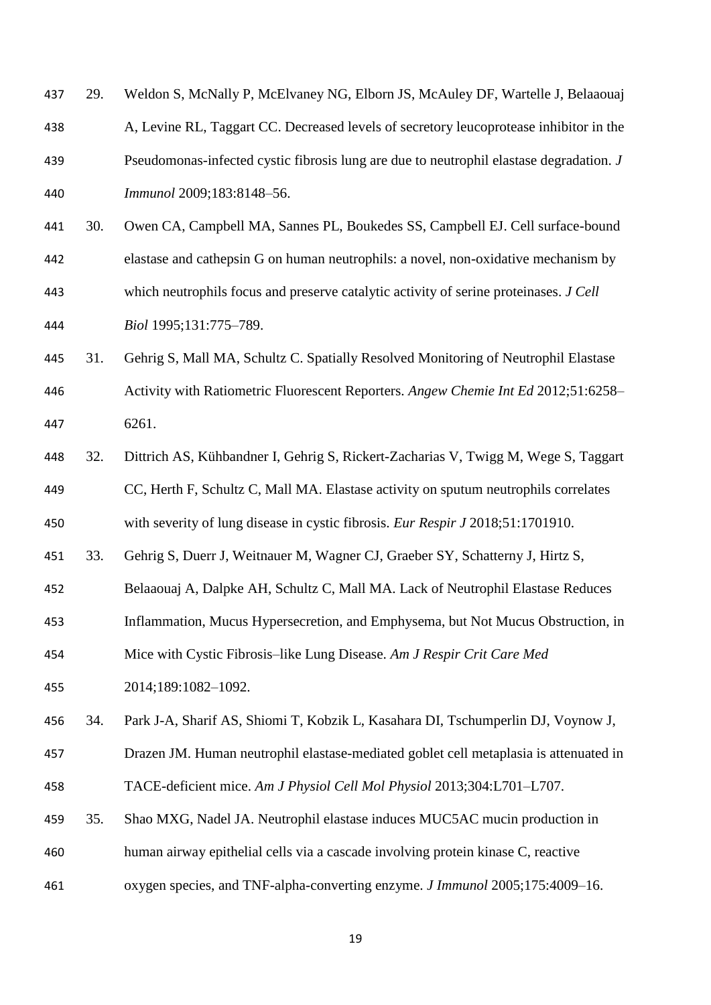| 438 |     | A, Levine RL, Taggart CC. Decreased levels of secretory leucoprotease inhibitor in the  |
|-----|-----|-----------------------------------------------------------------------------------------|
| 439 |     | Pseudomonas-infected cystic fibrosis lung are due to neutrophil elastase degradation. J |
| 440 |     | Immunol 2009;183:8148-56.                                                               |
| 441 | 30. | Owen CA, Campbell MA, Sannes PL, Boukedes SS, Campbell EJ. Cell surface-bound           |
| 442 |     | elastase and cathepsin G on human neutrophils: a novel, non-oxidative mechanism by      |
| 443 |     | which neutrophils focus and preserve catalytic activity of serine proteinases. J Cell   |
| 444 |     | Biol 1995;131:775-789.                                                                  |
| 445 | 31. | Gehrig S, Mall MA, Schultz C. Spatially Resolved Monitoring of Neutrophil Elastase      |
| 446 |     | Activity with Ratiometric Fluorescent Reporters. Angew Chemie Int Ed 2012;51:6258-      |
| 447 |     | 6261.                                                                                   |
| 448 | 32. | Dittrich AS, Kühbandner I, Gehrig S, Rickert-Zacharias V, Twigg M, Wege S, Taggart      |
| 449 |     | CC, Herth F, Schultz C, Mall MA. Elastase activity on sputum neutrophils correlates     |
| 450 |     | with severity of lung disease in cystic fibrosis. Eur Respir J 2018;51:1701910.         |
| 451 | 33. | Gehrig S, Duerr J, Weitnauer M, Wagner CJ, Graeber SY, Schatterny J, Hirtz S,           |
| 452 |     | Belaaouaj A, Dalpke AH, Schultz C, Mall MA. Lack of Neutrophil Elastase Reduces         |
| 453 |     | Inflammation, Mucus Hypersecretion, and Emphysema, but Not Mucus Obstruction, in        |
| 454 |     | Mice with Cystic Fibrosis-like Lung Disease. Am J Respir Crit Care Med                  |
| 455 |     | 2014;189:1082-1092.                                                                     |
| 456 | 34. | Park J-A, Sharif AS, Shiomi T, Kobzik L, Kasahara DI, Tschumperlin DJ, Voynow J,        |
| 457 |     | Drazen JM. Human neutrophil elastase-mediated goblet cell metaplasia is attenuated in   |
| 458 |     | TACE-deficient mice. Am J Physiol Cell Mol Physiol 2013;304:L701-L707.                  |
| 459 | 35. | Shao MXG, Nadel JA. Neutrophil elastase induces MUC5AC mucin production in              |
| 460 |     | human airway epithelial cells via a cascade involving protein kinase C, reactive        |
| 461 |     | oxygen species, and TNF-alpha-converting enzyme. J Immunol 2005;175:4009-16.            |
|     |     |                                                                                         |

29. Weldon S, McNally P, McElvaney NG, Elborn JS, McAuley DF, Wartelle J, Belaaouaj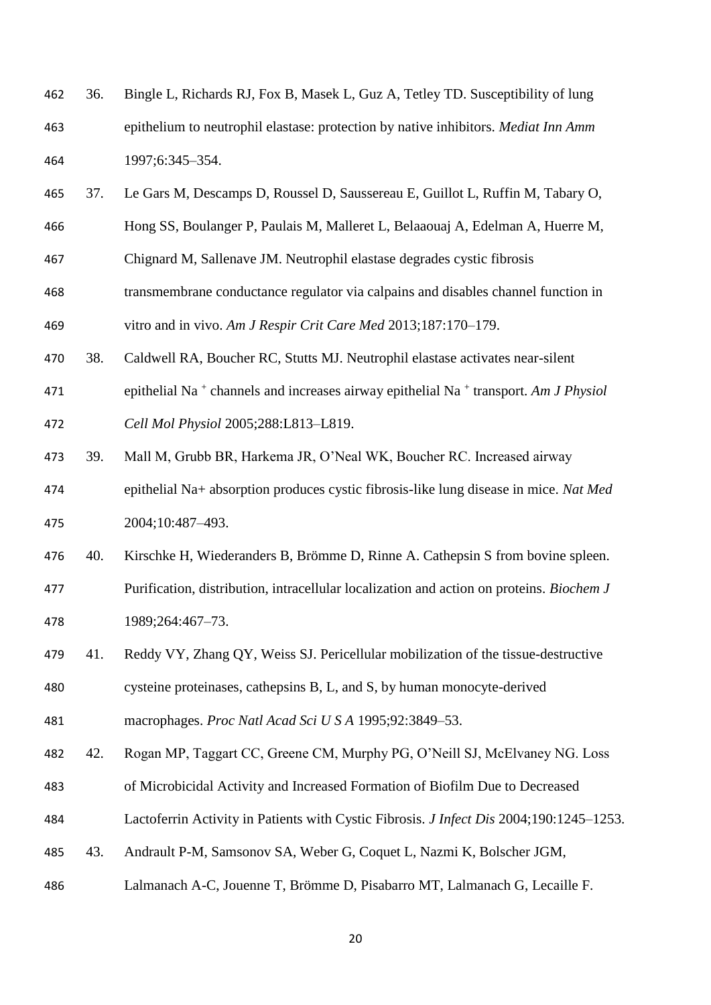| 462 | 36. | Bingle L, Richards RJ, Fox B, Masek L, Guz A, Tetley TD. Susceptibility of lung           |
|-----|-----|-------------------------------------------------------------------------------------------|
| 463 |     | epithelium to neutrophil elastase: protection by native inhibitors. <i>Mediat Inn Amm</i> |
| 464 |     | 1997;6:345-354.                                                                           |

- 37. Le Gars M, Descamps D, Roussel D, Saussereau E, Guillot L, Ruffin M, Tabary O,
- Hong SS, Boulanger P, Paulais M, Malleret L, Belaaouaj A, Edelman A, Huerre M,
- Chignard M, Sallenave JM. Neutrophil elastase degrades cystic fibrosis
- transmembrane conductance regulator via calpains and disables channel function in vitro and in vivo. *Am J Respir Crit Care Med* 2013;187:170–179.
- 38. Caldwell RA, Boucher RC, Stutts MJ. Neutrophil elastase activates near-silent
- 471 epithelial Na<sup>+</sup> channels and increases airway epithelial Na<sup>+</sup> transport. *Am J Physiol*
- *Cell Mol Physiol* 2005;288:L813–L819.
- 39. Mall M, Grubb BR, Harkema JR, O'Neal WK, Boucher RC. Increased airway epithelial Na+ absorption produces cystic fibrosis-like lung disease in mice. *Nat Med* 2004;10:487–493.
- 40. Kirschke H, Wiederanders B, Brömme D, Rinne A. Cathepsin S from bovine spleen. Purification, distribution, intracellular localization and action on proteins. *Biochem J*
- 1989;264:467–73.
- 41. Reddy VY, Zhang QY, Weiss SJ. Pericellular mobilization of the tissue-destructive cysteine proteinases, cathepsins B, L, and S, by human monocyte-derived
- macrophages. *Proc Natl Acad Sci U S A* 1995;92:3849–53.
- 42. Rogan MP, Taggart CC, Greene CM, Murphy PG, O'Neill SJ, McElvaney NG. Loss
- of Microbicidal Activity and Increased Formation of Biofilm Due to Decreased
- Lactoferrin Activity in Patients with Cystic Fibrosis. *J Infect Dis* 2004;190:1245–1253.
- 43. Andrault P-M, Samsonov SA, Weber G, Coquet L, Nazmi K, Bolscher JGM,
- Lalmanach A-C, Jouenne T, Brömme D, Pisabarro MT, Lalmanach G, Lecaille F.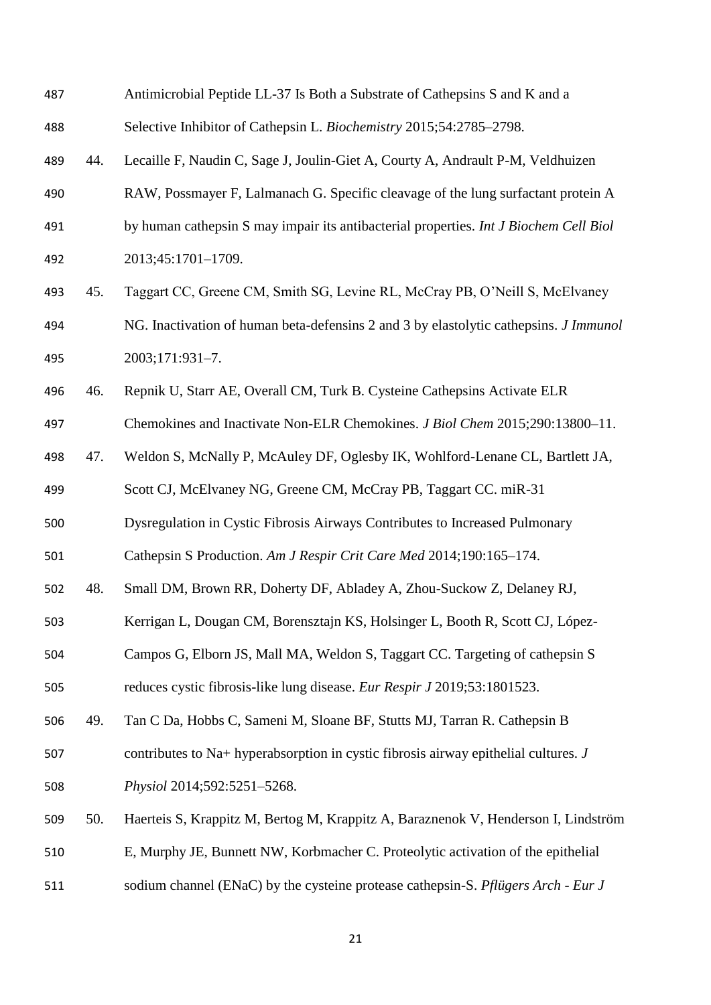| 487 |     | Antimicrobial Peptide LL-37 Is Both a Substrate of Cathepsins S and K and a                  |
|-----|-----|----------------------------------------------------------------------------------------------|
| 488 |     | Selective Inhibitor of Cathepsin L. Biochemistry 2015;54:2785-2798.                          |
| 489 | 44. | Lecaille F, Naudin C, Sage J, Joulin-Giet A, Courty A, Andrault P-M, Veldhuizen              |
| 490 |     | RAW, Possmayer F, Lalmanach G. Specific cleavage of the lung surfactant protein A            |
| 491 |     | by human cathepsin S may impair its antibacterial properties. Int J Biochem Cell Biol        |
| 492 |     | 2013;45:1701-1709.                                                                           |
| 493 | 45. | Taggart CC, Greene CM, Smith SG, Levine RL, McCray PB, O'Neill S, McElvaney                  |
| 494 |     | NG. Inactivation of human beta-defensins 2 and 3 by elastolytic cathepsins. <i>J Immunol</i> |
| 495 |     | 2003;171:931-7.                                                                              |
| 496 | 46. | Repnik U, Starr AE, Overall CM, Turk B. Cysteine Cathepsins Activate ELR                     |
| 497 |     | Chemokines and Inactivate Non-ELR Chemokines. J Biol Chem 2015;290:13800-11.                 |
| 498 | 47. | Weldon S, McNally P, McAuley DF, Oglesby IK, Wohlford-Lenane CL, Bartlett JA,                |
| 499 |     | Scott CJ, McElvaney NG, Greene CM, McCray PB, Taggart CC. miR-31                             |
| 500 |     | Dysregulation in Cystic Fibrosis Airways Contributes to Increased Pulmonary                  |
| 501 |     | Cathepsin S Production. Am J Respir Crit Care Med 2014;190:165-174.                          |
| 502 | 48. | Small DM, Brown RR, Doherty DF, Abladey A, Zhou-Suckow Z, Delaney RJ,                        |
| 503 |     | Kerrigan L, Dougan CM, Borensztajn KS, Holsinger L, Booth R, Scott CJ, López-                |
| 504 |     | Campos G, Elborn JS, Mall MA, Weldon S, Taggart CC. Targeting of cathepsin S                 |
| 505 |     | reduces cystic fibrosis-like lung disease. Eur Respir J 2019;53:1801523.                     |
| 506 | 49. | Tan C Da, Hobbs C, Sameni M, Sloane BF, Stutts MJ, Tarran R. Cathepsin B                     |
| 507 |     | contributes to Na+ hyperabsorption in cystic fibrosis airway epithelial cultures. J          |
| 508 |     | Physiol 2014;592:5251-5268.                                                                  |
| 509 | 50. | Haerteis S, Krappitz M, Bertog M, Krappitz A, Baraznenok V, Henderson I, Lindström           |
| 510 |     | E, Murphy JE, Bunnett NW, Korbmacher C. Proteolytic activation of the epithelial             |
| 511 |     | sodium channel (ENaC) by the cysteine protease cathepsin-S. Pflügers Arch - Eur J            |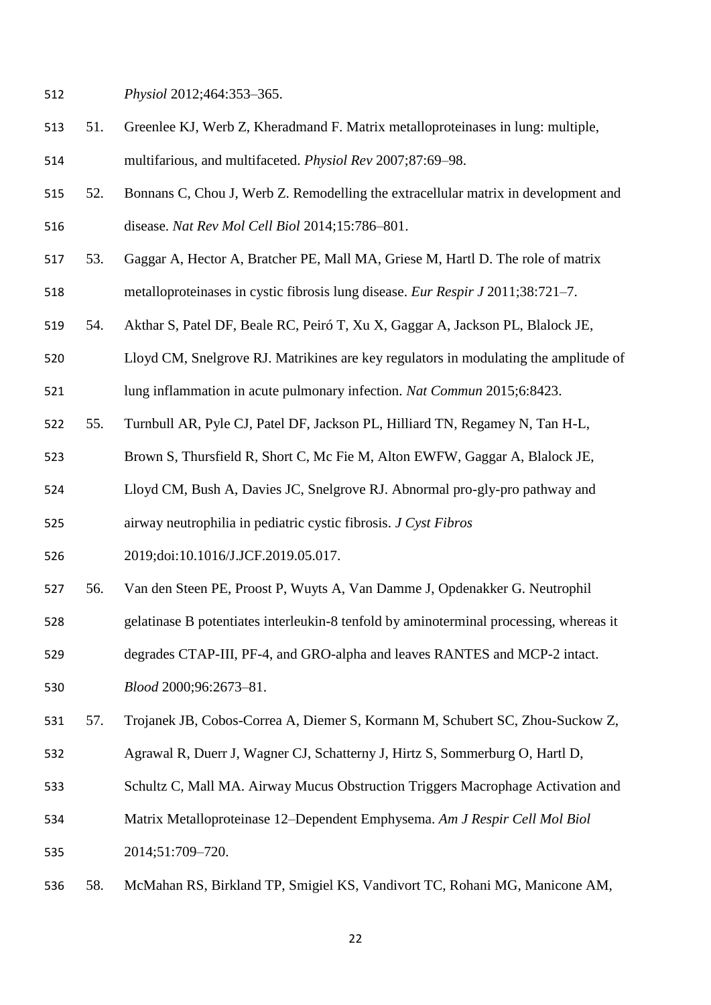*Physiol* 2012;464:353–365.

- 51. Greenlee KJ, Werb Z, Kheradmand F. Matrix metalloproteinases in lung: multiple,
- multifarious, and multifaceted. *Physiol Rev* 2007;87:69–98.
- 52. Bonnans C, Chou J, Werb Z. Remodelling the extracellular matrix in development and disease. *Nat Rev Mol Cell Biol* 2014;15:786–801.
- 53. Gaggar A, Hector A, Bratcher PE, Mall MA, Griese M, Hartl D. The role of matrix
- metalloproteinases in cystic fibrosis lung disease. *Eur Respir J* 2011;38:721–7.
- 54. Akthar S, Patel DF, Beale RC, Peiró T, Xu X, Gaggar A, Jackson PL, Blalock JE,
- Lloyd CM, Snelgrove RJ. Matrikines are key regulators in modulating the amplitude of
- lung inflammation in acute pulmonary infection. *Nat Commun* 2015;6:8423.
- 55. Turnbull AR, Pyle CJ, Patel DF, Jackson PL, Hilliard TN, Regamey N, Tan H-L,
- Brown S, Thursfield R, Short C, Mc Fie M, Alton EWFW, Gaggar A, Blalock JE,
- Lloyd CM, Bush A, Davies JC, Snelgrove RJ. Abnormal pro-gly-pro pathway and
- airway neutrophilia in pediatric cystic fibrosis. *J Cyst Fibros*
- 2019;doi:10.1016/J.JCF.2019.05.017.
- 56. Van den Steen PE, Proost P, Wuyts A, Van Damme J, Opdenakker G. Neutrophil
- gelatinase B potentiates interleukin-8 tenfold by aminoterminal processing, whereas it
- degrades CTAP-III, PF-4, and GRO-alpha and leaves RANTES and MCP-2 intact.
- *Blood* 2000;96:2673–81.
- 57. Trojanek JB, Cobos-Correa A, Diemer S, Kormann M, Schubert SC, Zhou-Suckow Z,
- Agrawal R, Duerr J, Wagner CJ, Schatterny J, Hirtz S, Sommerburg O, Hartl D,
- Schultz C, Mall MA. Airway Mucus Obstruction Triggers Macrophage Activation and
- Matrix Metalloproteinase 12–Dependent Emphysema. *Am J Respir Cell Mol Biol* 2014;51:709–720.
- 58. McMahan RS, Birkland TP, Smigiel KS, Vandivort TC, Rohani MG, Manicone AM,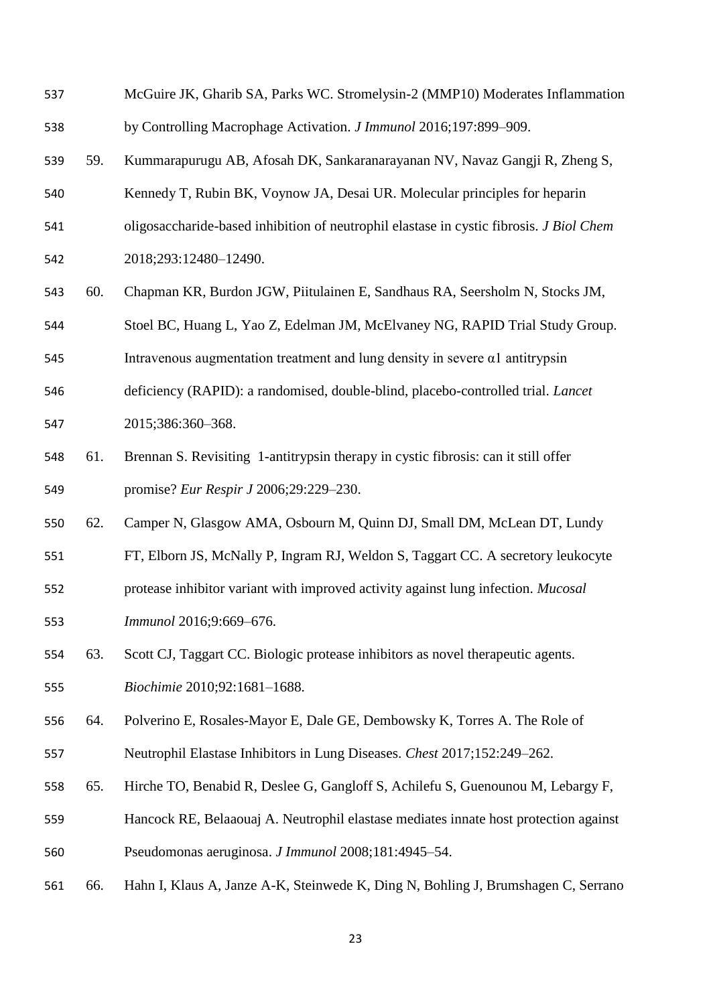| 537 |     | McGuire JK, Gharib SA, Parks WC. Stromelysin-2 (MMP10) Moderates Inflammation           |
|-----|-----|-----------------------------------------------------------------------------------------|
| 538 |     | by Controlling Macrophage Activation. <i>J Immunol</i> 2016;197:899–909.                |
| 539 | 59. | Kummarapurugu AB, Afosah DK, Sankaranarayanan NV, Navaz Gangji R, Zheng S,              |
| 540 |     | Kennedy T, Rubin BK, Voynow JA, Desai UR. Molecular principles for heparin              |
| 541 |     | oligosaccharide-based inhibition of neutrophil elastase in cystic fibrosis. J Biol Chem |
| 542 |     | 2018;293:12480-12490.                                                                   |
| 543 | 60. | Chapman KR, Burdon JGW, Piitulainen E, Sandhaus RA, Seersholm N, Stocks JM,             |
| 544 |     | Stoel BC, Huang L, Yao Z, Edelman JM, McElvaney NG, RAPID Trial Study Group.            |
| 545 |     | Intravenous augmentation treatment and lung density in severe $\alpha$ l antitrypsin    |
| 546 |     | deficiency (RAPID): a randomised, double-blind, placebo-controlled trial. Lancet        |
| 547 |     | 2015;386:360-368.                                                                       |
| 548 | 61. | Brennan S. Revisiting 1-antitrypsin therapy in cystic fibrosis: can it still offer      |
| 549 |     | promise? Eur Respir J 2006;29:229-230.                                                  |
| 550 | 62. | Camper N, Glasgow AMA, Osbourn M, Quinn DJ, Small DM, McLean DT, Lundy                  |
| 551 |     | FT, Elborn JS, McNally P, Ingram RJ, Weldon S, Taggart CC. A secretory leukocyte        |
| 552 |     | protease inhibitor variant with improved activity against lung infection. Mucosal       |
| 553 |     | Immunol 2016;9:669-676.                                                                 |
| 554 | 63. | Scott CJ, Taggart CC. Biologic protease inhibitors as novel therapeutic agents.         |
| 555 |     | Biochimie 2010;92:1681-1688.                                                            |
| 556 | 64. | Polverino E, Rosales-Mayor E, Dale GE, Dembowsky K, Torres A. The Role of               |
| 557 |     | Neutrophil Elastase Inhibitors in Lung Diseases. Chest 2017;152:249-262.                |
| 558 | 65. | Hirche TO, Benabid R, Deslee G, Gangloff S, Achilefu S, Guenounou M, Lebargy F,         |
| 559 |     | Hancock RE, Belaaouaj A. Neutrophil elastase mediates innate host protection against    |
| 560 |     | Pseudomonas aeruginosa. J Immunol 2008;181:4945-54.                                     |
| 561 | 66. | Hahn I, Klaus A, Janze A-K, Steinwede K, Ding N, Bohling J, Brumshagen C, Serrano       |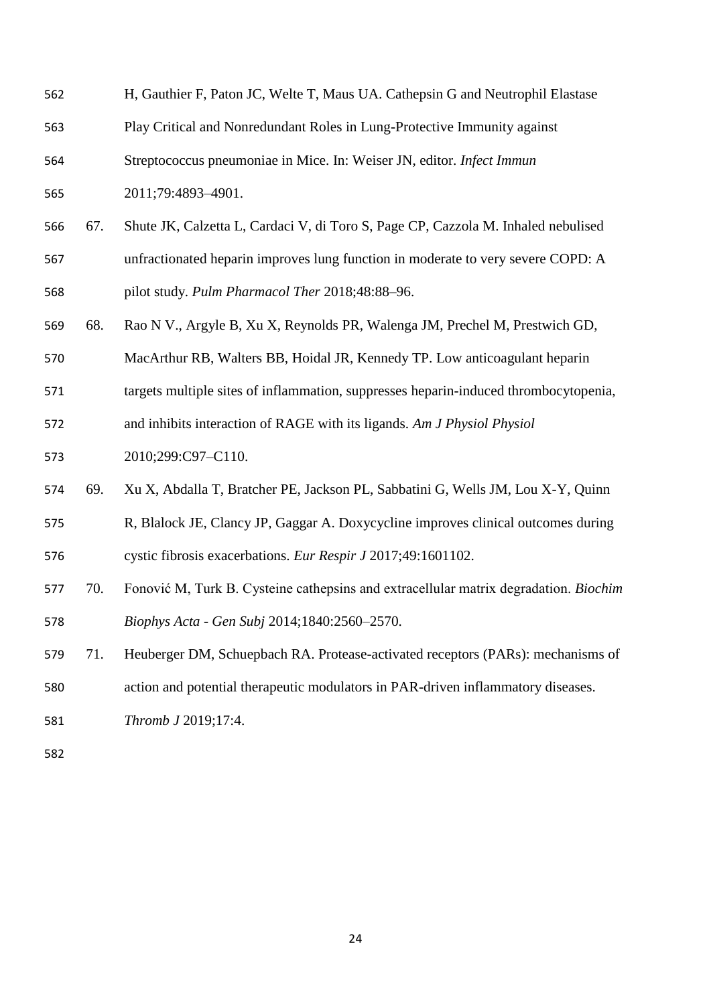| 562 |     | H, Gauthier F, Paton JC, Welte T, Maus UA. Cathepsin G and Neutrophil Elastase       |  |
|-----|-----|--------------------------------------------------------------------------------------|--|
| 563 |     | Play Critical and Nonredundant Roles in Lung-Protective Immunity against             |  |
| 564 |     | Streptococcus pneumoniae in Mice. In: Weiser JN, editor. Infect Immun                |  |
| 565 |     | 2011;79:4893-4901.                                                                   |  |
| 566 | 67. | Shute JK, Calzetta L, Cardaci V, di Toro S, Page CP, Cazzola M. Inhaled nebulised    |  |
| 567 |     | unfractionated heparin improves lung function in moderate to very severe COPD: A     |  |
| 568 |     | pilot study. Pulm Pharmacol Ther 2018;48:88-96.                                      |  |
| 569 | 68. | Rao N V., Argyle B, Xu X, Reynolds PR, Walenga JM, Prechel M, Prestwich GD,          |  |
| 570 |     | MacArthur RB, Walters BB, Hoidal JR, Kennedy TP. Low anticoagulant heparin           |  |
| 571 |     | targets multiple sites of inflammation, suppresses heparin-induced thrombocytopenia, |  |
| 572 |     | and inhibits interaction of RAGE with its ligands. Am J Physiol Physiol              |  |
| 573 |     | 2010;299:C97-C110.                                                                   |  |
| 574 | 69. | Xu X, Abdalla T, Bratcher PE, Jackson PL, Sabbatini G, Wells JM, Lou X-Y, Quinn      |  |
| 575 |     | R, Blalock JE, Clancy JP, Gaggar A. Doxycycline improves clinical outcomes during    |  |
| 576 |     | cystic fibrosis exacerbations. Eur Respir J 2017;49:1601102.                         |  |
| 577 | 70. | Fonović M, Turk B. Cysteine cathepsins and extracellular matrix degradation. Biochim |  |
| 578 |     | Biophys Acta - Gen Subj 2014;1840:2560-2570.                                         |  |
| 579 | 71. | Heuberger DM, Schuepbach RA. Protease-activated receptors (PARs): mechanisms of      |  |
| 580 |     | action and potential therapeutic modulators in PAR-driven inflammatory diseases.     |  |
| 581 |     | Thromb J 2019;17:4.                                                                  |  |
|     |     |                                                                                      |  |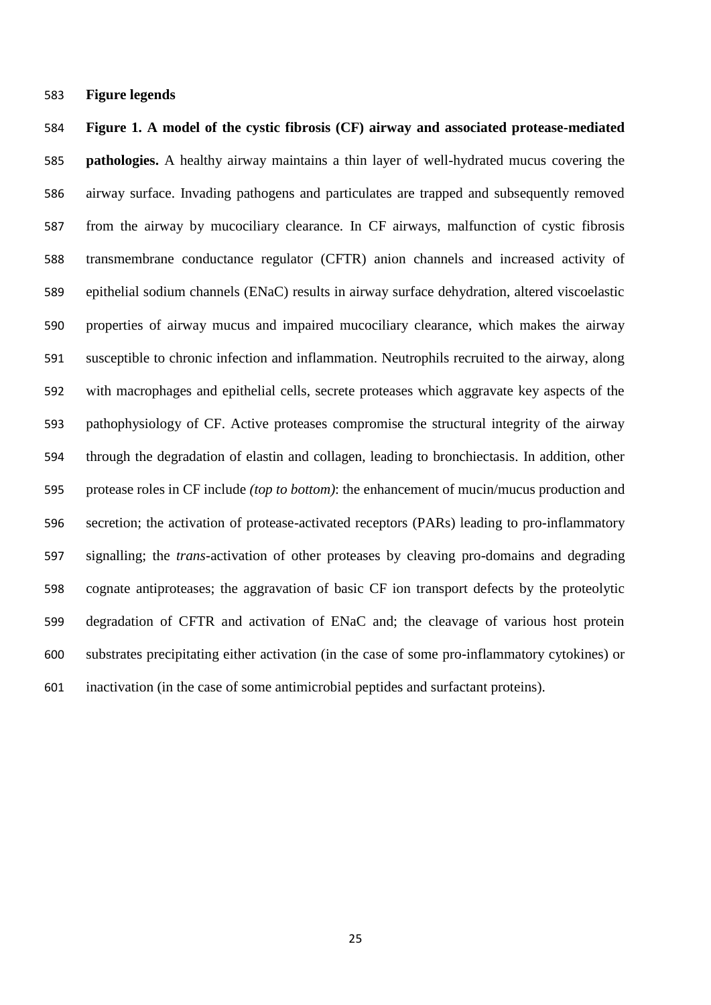**Figure legends**

 **Figure 1. A model of the cystic fibrosis (CF) airway and associated protease-mediated pathologies.** A healthy airway maintains a thin layer of well-hydrated mucus covering the airway surface. Invading pathogens and particulates are trapped and subsequently removed from the airway by mucociliary clearance. In CF airways, malfunction of cystic fibrosis transmembrane conductance regulator (CFTR) anion channels and increased activity of epithelial sodium channels (ENaC) results in airway surface dehydration, altered viscoelastic properties of airway mucus and impaired mucociliary clearance, which makes the airway susceptible to chronic infection and inflammation. Neutrophils recruited to the airway, along with macrophages and epithelial cells, secrete proteases which aggravate key aspects of the pathophysiology of CF. Active proteases compromise the structural integrity of the airway through the degradation of elastin and collagen, leading to bronchiectasis. In addition, other protease roles in CF include *(top to bottom)*: the enhancement of mucin/mucus production and secretion; the activation of protease-activated receptors (PARs) leading to pro-inflammatory signalling; the *trans-*activation of other proteases by cleaving pro-domains and degrading cognate antiproteases; the aggravation of basic CF ion transport defects by the proteolytic degradation of CFTR and activation of ENaC and; the cleavage of various host protein substrates precipitating either activation (in the case of some pro-inflammatory cytokines) or inactivation (in the case of some antimicrobial peptides and surfactant proteins).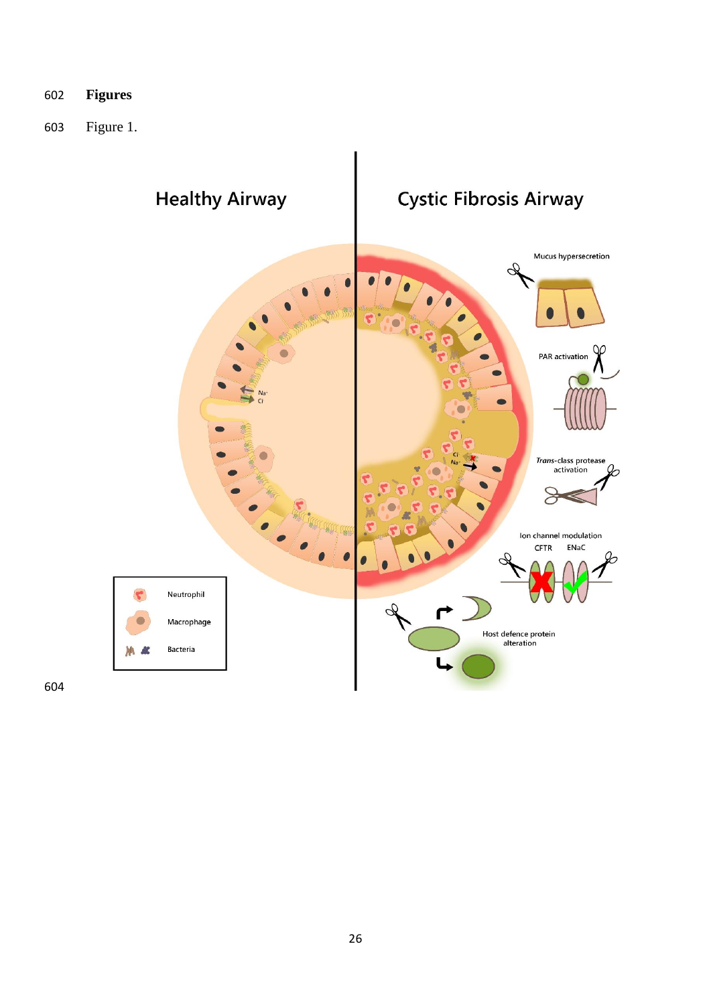- **Figures**
- Figure 1.